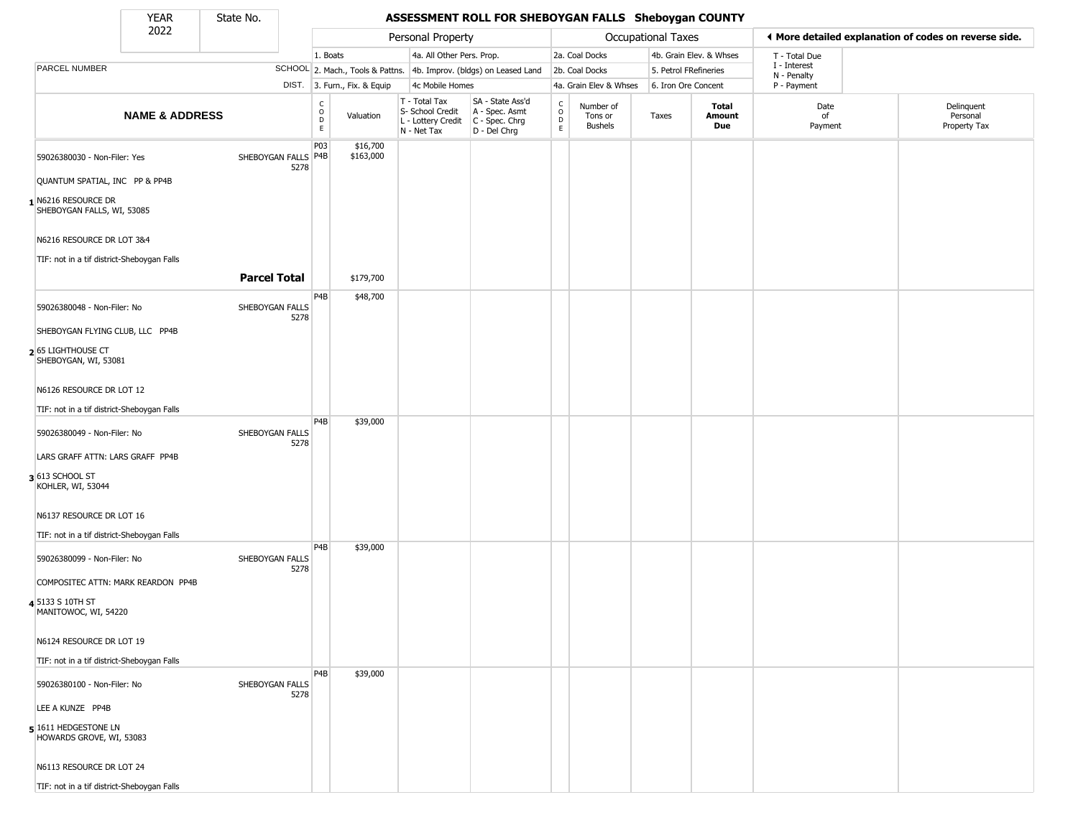State No.

Г

## YEAR State No. **ASSESSMENT ROLL FOR SHEBOYGAN FALLS Sheboygan COUNTY**

|                                                   | 2022                      |                         |                                    |                              | Personal Property                                                      |                                                                      |                             |                                        | <b>Occupational Taxes</b> |                         |                             | ♦ More detailed explanation of codes on reverse side. |
|---------------------------------------------------|---------------------------|-------------------------|------------------------------------|------------------------------|------------------------------------------------------------------------|----------------------------------------------------------------------|-----------------------------|----------------------------------------|---------------------------|-------------------------|-----------------------------|-------------------------------------------------------|
|                                                   |                           |                         | 1. Boats                           |                              | 4a. All Other Pers. Prop.                                              |                                                                      |                             | 2a. Coal Docks                         |                           | 4b. Grain Elev. & Whses | T - Total Due               |                                                       |
| PARCEL NUMBER                                     |                           |                         |                                    |                              |                                                                        | SCHOOL 2. Mach., Tools & Pattns. 4b. Improv. (bldgs) on Leased Land  |                             | 2b. Coal Docks                         | 5. Petrol FRefineries     |                         | I - Interest<br>N - Penalty |                                                       |
|                                                   |                           |                         |                                    | DIST. 3. Furn., Fix. & Equip | 4c Mobile Homes                                                        |                                                                      |                             | 4a. Grain Elev & Whses                 | 6. Iron Ore Concent       |                         | P - Payment                 |                                                       |
|                                                   | <b>NAME &amp; ADDRESS</b> |                         | $\int_{0}^{c}$<br>D<br>$\mathsf E$ | Valuation                    | T - Total Tax<br>S- School Credit<br>L - Lottery Credit<br>N - Net Tax | SA - State Ass'd<br>A - Spec. Asmt<br>C - Spec. Chrg<br>D - Del Chrg | $\rm ^c_o$<br>$\frac{D}{E}$ | Number of<br>Tons or<br><b>Bushels</b> | Taxes                     | Total<br>Amount<br>Due  | Date<br>of<br>Payment       | Delinquent<br>Personal<br>Property Tax                |
| 59026380030 - Non-Filer: Yes                      |                           | SHEBOYGAN FALLS P4B     | P03                                | \$16,700<br>\$163,000        |                                                                        |                                                                      |                             |                                        |                           |                         |                             |                                                       |
| QUANTUM SPATIAL, INC PP & PP4B                    |                           | 5278                    |                                    |                              |                                                                        |                                                                      |                             |                                        |                           |                         |                             |                                                       |
| 1 N6216 RESOURCE DR<br>SHEBOYGAN FALLS, WI, 53085 |                           |                         |                                    |                              |                                                                        |                                                                      |                             |                                        |                           |                         |                             |                                                       |
| N6216 RESOURCE DR LOT 3&4                         |                           |                         |                                    |                              |                                                                        |                                                                      |                             |                                        |                           |                         |                             |                                                       |
| TIF: not in a tif district-Sheboygan Falls        |                           |                         |                                    |                              |                                                                        |                                                                      |                             |                                        |                           |                         |                             |                                                       |
|                                                   |                           | <b>Parcel Total</b>     |                                    | \$179,700                    |                                                                        |                                                                      |                             |                                        |                           |                         |                             |                                                       |
| 59026380048 - Non-Filer: No                       |                           | SHEBOYGAN FALLS<br>5278 | P4B                                | \$48,700                     |                                                                        |                                                                      |                             |                                        |                           |                         |                             |                                                       |
| SHEBOYGAN FLYING CLUB, LLC PP4B                   |                           |                         |                                    |                              |                                                                        |                                                                      |                             |                                        |                           |                         |                             |                                                       |
| 2 65 LIGHTHOUSE CT<br>SHEBOYGAN, WI, 53081        |                           |                         |                                    |                              |                                                                        |                                                                      |                             |                                        |                           |                         |                             |                                                       |
| N6126 RESOURCE DR LOT 12                          |                           |                         |                                    |                              |                                                                        |                                                                      |                             |                                        |                           |                         |                             |                                                       |
| TIF: not in a tif district-Sheboygan Falls        |                           |                         |                                    |                              |                                                                        |                                                                      |                             |                                        |                           |                         |                             |                                                       |
| 59026380049 - Non-Filer: No                       |                           | SHEBOYGAN FALLS<br>5278 | P <sub>4</sub> B                   | \$39,000                     |                                                                        |                                                                      |                             |                                        |                           |                         |                             |                                                       |
| LARS GRAFF ATTN: LARS GRAFF PP4B                  |                           |                         |                                    |                              |                                                                        |                                                                      |                             |                                        |                           |                         |                             |                                                       |
| 3 613 SCHOOL ST<br>KOHLER, WI, 53044              |                           |                         |                                    |                              |                                                                        |                                                                      |                             |                                        |                           |                         |                             |                                                       |
| N6137 RESOURCE DR LOT 16                          |                           |                         |                                    |                              |                                                                        |                                                                      |                             |                                        |                           |                         |                             |                                                       |
| TIF: not in a tif district-Sheboygan Falls        |                           |                         |                                    |                              |                                                                        |                                                                      |                             |                                        |                           |                         |                             |                                                       |
| 59026380099 - Non-Filer: No                       |                           | SHEBOYGAN FALLS<br>5278 | P4B                                | \$39,000                     |                                                                        |                                                                      |                             |                                        |                           |                         |                             |                                                       |
| COMPOSITEC ATTN: MARK REARDON PP4B                |                           |                         |                                    |                              |                                                                        |                                                                      |                             |                                        |                           |                         |                             |                                                       |
| 4 5133 S 10TH ST<br>MANITOWOC, WI, 54220          |                           |                         |                                    |                              |                                                                        |                                                                      |                             |                                        |                           |                         |                             |                                                       |
| N6124 RESOURCE DR LOT 19                          |                           |                         |                                    |                              |                                                                        |                                                                      |                             |                                        |                           |                         |                             |                                                       |
| TIF: not in a tif district-Sheboygan Falls        |                           |                         |                                    |                              |                                                                        |                                                                      |                             |                                        |                           |                         |                             |                                                       |
| 59026380100 - Non-Filer: No                       |                           | SHEBOYGAN FALLS<br>5278 | P <sub>4</sub> B                   | \$39,000                     |                                                                        |                                                                      |                             |                                        |                           |                         |                             |                                                       |
| LEE A KUNZE PP4B                                  |                           |                         |                                    |                              |                                                                        |                                                                      |                             |                                        |                           |                         |                             |                                                       |
| 5 1611 HEDGESTONE LN<br>HOWARDS GROVE, WI, 53083  |                           |                         |                                    |                              |                                                                        |                                                                      |                             |                                        |                           |                         |                             |                                                       |
| N6113 RESOURCE DR LOT 24                          |                           |                         |                                    |                              |                                                                        |                                                                      |                             |                                        |                           |                         |                             |                                                       |
| TIF: not in a tif district-Sheboygan Falls        |                           |                         |                                    |                              |                                                                        |                                                                      |                             |                                        |                           |                         |                             |                                                       |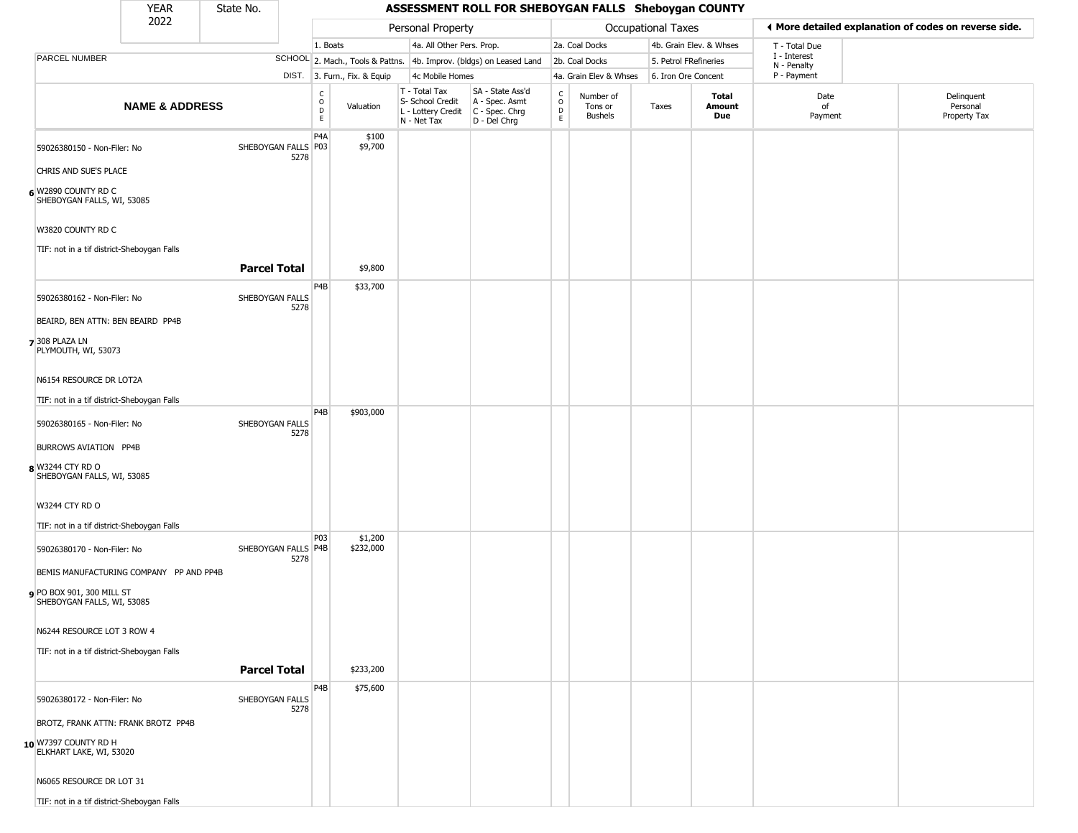#### YEAR **A State No. 45SESSMENT ROLL FOR SHEBOYGAN FALLS Sheboygan COUNTY** 2022 DIST. 3. Furn., Fix. & Equip PARCEL NUMBER **NAME & ADDRESS** State No. C O D E Valuation T - Total Tax S- School Credit A - Spec. Asmt L - Lottery Credit C - Spec. Chrg N - Net Tax SA - State Ass'd D - Del Chrg C O D E Number of Tons or Bushels Taxes **Total Amount Due** Date of Payment Delinquent Personal Property Tax Personal Property **Department Controller Service Controller** Occupational Taxes 1. Boats **4a. All Other Pers. Prop.** 2a. Coal Docks 4b. Grain Elev. & Whses SCHOOL 2. Mach., Tools & Pattns. 4b. Improv. (bldgs) on Leased Land 2b. Coal Docks 5. Petrol FRefineries 4c Mobile Homes 4a. Grain Elev & Whses 6. Iron Ore Concent T - Total Due I - Interest N - Penalty P - Payment 3**More detailed explanation of codes on reverse side. 6** W2890 COUNTY RD C 59026380150 - Non-Filer: No 5278 CHRIS AND SUE'S PLACE SHEBOYGAN FALLS, WI, 53085 W3820 COUNTY RD C TIF: not in a tif district-Sheboygan Falls P4A SHEBOYGAN FALLS P03 \$100 \$9,700 **Parcel Total** | \$9,800 **7** 308 PLAZA LN 59026380162 - Non-Filer: No SHEBOYGAN FALLS 5278 BEAIRD, BEN ATTN: BEN BEAIRD PP4B PLYMOUTH, WI, 53073 N6154 RESOURCE DR LOT2A TIF: not in a tif district-Sheboygan Falls P4B \$33,700 **8** W3244 CTY RD O 59026380165 - Non-Filer: No SHEBOYGAN FALLS 5278 BURROWS AVIATION PP4B SHEBOYGAN FALLS, WI, 53085 W3244 CTY RD O TIF: not in a tif district-Sheboygan Falls P4B \$903,000 **9** PO BOX 901, 300 MILL ST 59026380170 - Non-Filer: No 5278 BEMIS MANUFACTURING COMPANY PP AND PP4B SHEBOYGAN FALLS, WI, 53085 N6244 RESOURCE LOT 3 ROW 4 TIF: not in a tif district-Sheboygan Falls **PO3** SHEBOYGAN FALLS P4B \$1,200 \$232,000 **Parcel Total** | \$233,200 **10** W7397 COUNTY RD H 59026380172 - Non-Filer: No SHEBOYGAN FALLS 5278 BROTZ, FRANK ATTN: FRANK BROTZ PP4B ELKHART LAKE, WI, 53020 N6065 RESOURCE DR LOT 31 P4B \$75,600

TIF: not in a tif district-Sheboygan Falls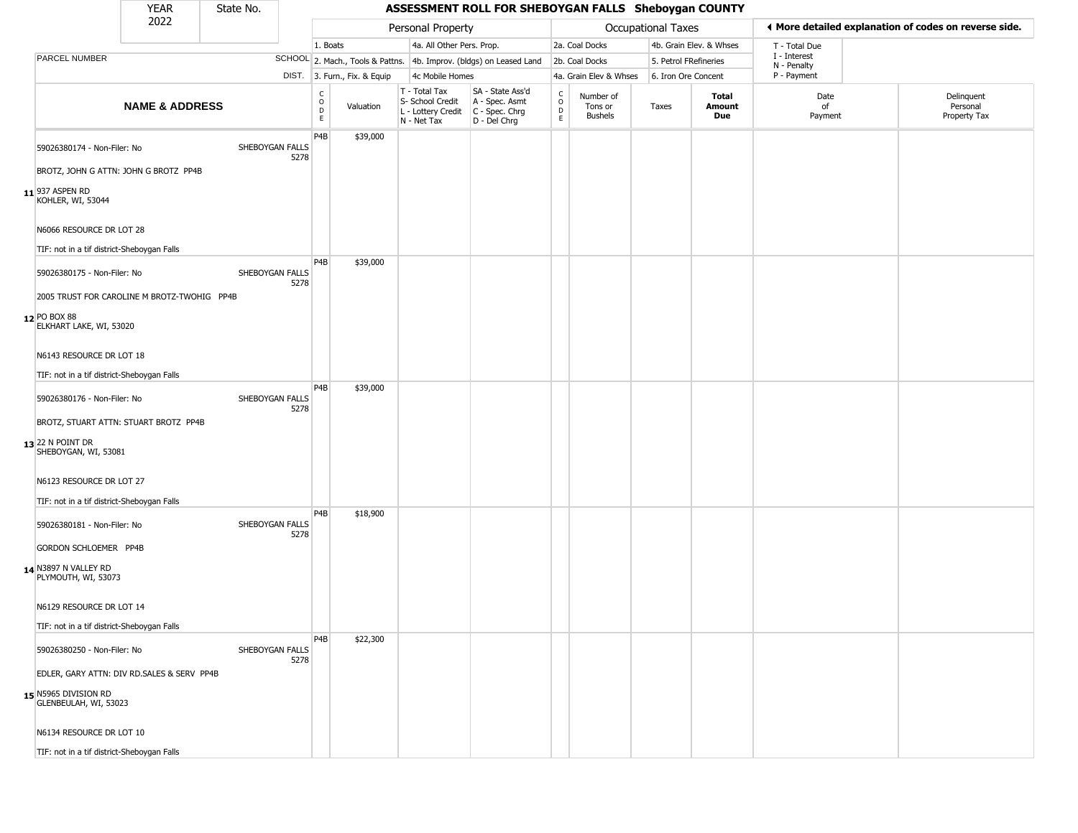| YEAR | State No. |
|------|-----------|
| 2022 |           |

|                                                   | 2022                      |                         |                   |                              | Personal Property                                                      |                                                                      |                                            |                                        | Occupational Taxes    |                         | ◀ More detailed explanation of codes on reverse side. |                                        |
|---------------------------------------------------|---------------------------|-------------------------|-------------------|------------------------------|------------------------------------------------------------------------|----------------------------------------------------------------------|--------------------------------------------|----------------------------------------|-----------------------|-------------------------|-------------------------------------------------------|----------------------------------------|
|                                                   |                           |                         | 1. Boats          |                              | 4a. All Other Pers. Prop.                                              |                                                                      |                                            | 2a. Coal Docks                         |                       | 4b. Grain Elev. & Whses | T - Total Due                                         |                                        |
| PARCEL NUMBER                                     |                           |                         |                   |                              |                                                                        | SCHOOL 2. Mach., Tools & Pattns. 4b. Improv. (bldgs) on Leased Land  |                                            | 2b. Coal Docks                         | 5. Petrol FRefineries |                         | I - Interest<br>N - Penalty                           |                                        |
|                                                   |                           |                         |                   | DIST. 3. Furn., Fix. & Equip | 4c Mobile Homes                                                        |                                                                      |                                            | 4a. Grain Elev & Whses                 | 6. Iron Ore Concent   |                         | P - Payment                                           |                                        |
|                                                   | <b>NAME &amp; ADDRESS</b> |                         | C<br>0<br>D<br>E. | Valuation                    | T - Total Tax<br>S- School Credit<br>L - Lottery Credit<br>N - Net Tax | SA - State Ass'd<br>A - Spec. Asmt<br>C - Spec. Chrg<br>D - Del Chrg | $\begin{array}{c} C \\ 0 \\ E \end{array}$ | Number of<br>Tons or<br><b>Bushels</b> | Taxes                 | Total<br>Amount<br>Due  | Date<br>of<br>Payment                                 | Delinquent<br>Personal<br>Property Tax |
| 59026380174 - Non-Filer: No                       |                           | SHEBOYGAN FALLS<br>5278 | P4B               | \$39,000                     |                                                                        |                                                                      |                                            |                                        |                       |                         |                                                       |                                        |
| BROTZ, JOHN G ATTN: JOHN G BROTZ PP4B             |                           |                         |                   |                              |                                                                        |                                                                      |                                            |                                        |                       |                         |                                                       |                                        |
| $11$ <sup>937</sup> ASPEN RD<br>KOHLER, WI, 53044 |                           |                         |                   |                              |                                                                        |                                                                      |                                            |                                        |                       |                         |                                                       |                                        |
| N6066 RESOURCE DR LOT 28                          |                           |                         |                   |                              |                                                                        |                                                                      |                                            |                                        |                       |                         |                                                       |                                        |
| TIF: not in a tif district-Sheboygan Falls        |                           |                         | P4B               | \$39,000                     |                                                                        |                                                                      |                                            |                                        |                       |                         |                                                       |                                        |
| 59026380175 - Non-Filer: No                       |                           | SHEBOYGAN FALLS<br>5278 |                   |                              |                                                                        |                                                                      |                                            |                                        |                       |                         |                                                       |                                        |
| 2005 TRUST FOR CAROLINE M BROTZ-TWOHIG PP4B       |                           |                         |                   |                              |                                                                        |                                                                      |                                            |                                        |                       |                         |                                                       |                                        |
| 12 PO BOX 88<br>ELKHART LAKE, WI, 53020           |                           |                         |                   |                              |                                                                        |                                                                      |                                            |                                        |                       |                         |                                                       |                                        |
| N6143 RESOURCE DR LOT 18                          |                           |                         |                   |                              |                                                                        |                                                                      |                                            |                                        |                       |                         |                                                       |                                        |
| TIF: not in a tif district-Sheboygan Falls        |                           |                         |                   |                              |                                                                        |                                                                      |                                            |                                        |                       |                         |                                                       |                                        |
| 59026380176 - Non-Filer: No                       |                           | SHEBOYGAN FALLS<br>5278 | P <sub>4</sub> B  | \$39,000                     |                                                                        |                                                                      |                                            |                                        |                       |                         |                                                       |                                        |
| BROTZ, STUART ATTN: STUART BROTZ PP4B             |                           |                         |                   |                              |                                                                        |                                                                      |                                            |                                        |                       |                         |                                                       |                                        |
| $13$ 22 N POINT DR<br>SHEBOYGAN, WI, 53081        |                           |                         |                   |                              |                                                                        |                                                                      |                                            |                                        |                       |                         |                                                       |                                        |
| N6123 RESOURCE DR LOT 27                          |                           |                         |                   |                              |                                                                        |                                                                      |                                            |                                        |                       |                         |                                                       |                                        |
| TIF: not in a tif district-Sheboygan Falls        |                           |                         |                   |                              |                                                                        |                                                                      |                                            |                                        |                       |                         |                                                       |                                        |
| 59026380181 - Non-Filer: No                       |                           | SHEBOYGAN FALLS<br>5278 | P <sub>4</sub> B  | \$18,900                     |                                                                        |                                                                      |                                            |                                        |                       |                         |                                                       |                                        |
| GORDON SCHLOEMER PP4B                             |                           |                         |                   |                              |                                                                        |                                                                      |                                            |                                        |                       |                         |                                                       |                                        |
| 14 N3897 N VALLEY RD<br>PLYMOUTH, WI, 53073       |                           |                         |                   |                              |                                                                        |                                                                      |                                            |                                        |                       |                         |                                                       |                                        |
| N6129 RESOURCE DR LOT 14                          |                           |                         |                   |                              |                                                                        |                                                                      |                                            |                                        |                       |                         |                                                       |                                        |
| TIF: not in a tif district-Sheboygan Falls        |                           |                         |                   |                              |                                                                        |                                                                      |                                            |                                        |                       |                         |                                                       |                                        |
| 59026380250 - Non-Filer: No                       |                           | SHEBOYGAN FALLS<br>5278 | P4B               | \$22,300                     |                                                                        |                                                                      |                                            |                                        |                       |                         |                                                       |                                        |
| EDLER, GARY ATTN: DIV RD.SALES & SERV PP4B        |                           |                         |                   |                              |                                                                        |                                                                      |                                            |                                        |                       |                         |                                                       |                                        |
| 15 N5965 DIVISION RD<br>GLENBEULAH, WI, 53023     |                           |                         |                   |                              |                                                                        |                                                                      |                                            |                                        |                       |                         |                                                       |                                        |
| N6134 RESOURCE DR LOT 10                          |                           |                         |                   |                              |                                                                        |                                                                      |                                            |                                        |                       |                         |                                                       |                                        |
| TIF: not in a tif district-Sheboygan Falls        |                           |                         |                   |                              |                                                                        |                                                                      |                                            |                                        |                       |                         |                                                       |                                        |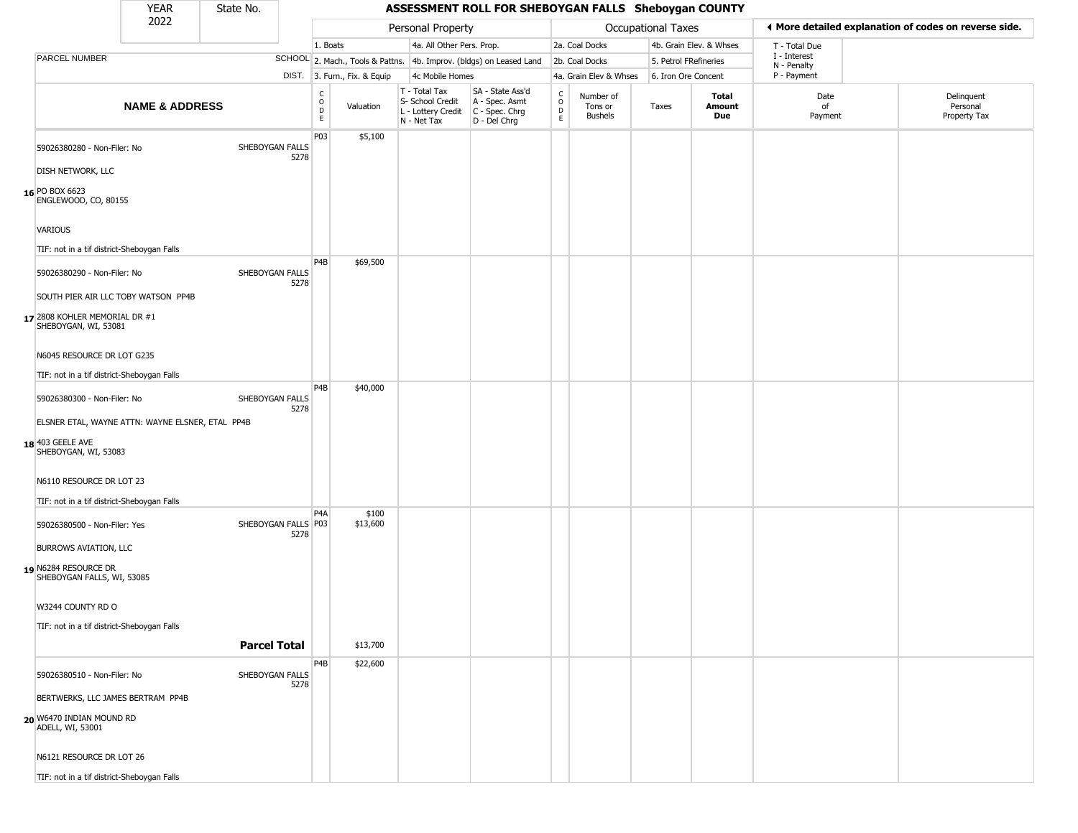| YFAR | State N |
|------|---------|
| ררחר |         |

|                                                       | <b>YEAR</b>               | State No. |                             | ASSESSMENT ROLL FOR SHEBOYGAN FALLS Sheboygan COUNTY |                              |                                                                        |                                                                        |                                              |                                 |                     |                         |                             |                                                       |  |
|-------------------------------------------------------|---------------------------|-----------|-----------------------------|------------------------------------------------------|------------------------------|------------------------------------------------------------------------|------------------------------------------------------------------------|----------------------------------------------|---------------------------------|---------------------|-------------------------|-----------------------------|-------------------------------------------------------|--|
|                                                       | 2022                      |           |                             |                                                      |                              | Personal Property                                                      |                                                                        |                                              |                                 | Occupational Taxes  |                         |                             | ♦ More detailed explanation of codes on reverse side. |  |
|                                                       |                           |           |                             | 1. Boats                                             |                              | 4a. All Other Pers. Prop.                                              |                                                                        |                                              | 2a. Coal Docks                  |                     | 4b. Grain Elev. & Whses | T - Total Due               |                                                       |  |
| PARCEL NUMBER                                         |                           |           |                             |                                                      |                              |                                                                        | SCHOOL 2. Mach., Tools & Pattns. 4b. Improv. (bldgs) on Leased Land    |                                              | 2b. Coal Docks                  |                     | 5. Petrol FRefineries   | I - Interest<br>N - Penalty |                                                       |  |
|                                                       |                           |           |                             |                                                      | DIST. 3. Furn., Fix. & Equip | 4c Mobile Homes                                                        |                                                                        |                                              | 4a. Grain Elev & Whses          | 6. Iron Ore Concent |                         | P - Payment                 |                                                       |  |
|                                                       | <b>NAME &amp; ADDRESS</b> |           |                             | C<br>$\circ$<br>D<br>E.                              | Valuation                    | T - Total Tax<br>S- School Credit<br>L - Lottery Credit<br>N - Net Tax | SA - State Ass'd<br>A - Spec. Asmt<br>C - Spec. Chrg<br>$D - Del Chrg$ | $\begin{array}{c}\nC \\ O \\ D\n\end{array}$ | Number of<br>Tons or<br>Bushels | Taxes               | Total<br>Amount<br>Due  | Date<br>of<br>Payment       | Delinquent<br>Personal<br>Property Tax                |  |
| 59026380280 - Non-Filer: No                           |                           |           | SHEBOYGAN FALLS<br>5278     | P03                                                  | \$5,100                      |                                                                        |                                                                        |                                              |                                 |                     |                         |                             |                                                       |  |
| DISH NETWORK, LLC                                     |                           |           |                             |                                                      |                              |                                                                        |                                                                        |                                              |                                 |                     |                         |                             |                                                       |  |
| 16 PO BOX 6623<br>ENGLEWOOD, CO, 80155                |                           |           |                             |                                                      |                              |                                                                        |                                                                        |                                              |                                 |                     |                         |                             |                                                       |  |
| <b>VARIOUS</b>                                        |                           |           |                             |                                                      |                              |                                                                        |                                                                        |                                              |                                 |                     |                         |                             |                                                       |  |
| TIF: not in a tif district-Sheboygan Falls            |                           |           |                             |                                                      |                              |                                                                        |                                                                        |                                              |                                 |                     |                         |                             |                                                       |  |
| 59026380290 - Non-Filer: No                           |                           |           | SHEBOYGAN FALLS             | P <sub>4</sub> B                                     | \$69,500                     |                                                                        |                                                                        |                                              |                                 |                     |                         |                             |                                                       |  |
| SOUTH PIER AIR LLC TOBY WATSON PP4B                   |                           |           | 5278                        |                                                      |                              |                                                                        |                                                                        |                                              |                                 |                     |                         |                             |                                                       |  |
| 17 2808 KOHLER MEMORIAL DR #1<br>SHEBOYGAN, WI, 53081 |                           |           |                             |                                                      |                              |                                                                        |                                                                        |                                              |                                 |                     |                         |                             |                                                       |  |
| N6045 RESOURCE DR LOT G235                            |                           |           |                             |                                                      |                              |                                                                        |                                                                        |                                              |                                 |                     |                         |                             |                                                       |  |
| TIF: not in a tif district-Sheboygan Falls            |                           |           |                             |                                                      |                              |                                                                        |                                                                        |                                              |                                 |                     |                         |                             |                                                       |  |
| 59026380300 - Non-Filer: No                           |                           |           | SHEBOYGAN FALLS             | P4B                                                  | \$40,000                     |                                                                        |                                                                        |                                              |                                 |                     |                         |                             |                                                       |  |
| ELSNER ETAL, WAYNE ATTN: WAYNE ELSNER, ETAL PP4B      |                           |           | 5278                        |                                                      |                              |                                                                        |                                                                        |                                              |                                 |                     |                         |                             |                                                       |  |
| 18 403 GEELE AVE<br>SHEBOYGAN, WI, 53083              |                           |           |                             |                                                      |                              |                                                                        |                                                                        |                                              |                                 |                     |                         |                             |                                                       |  |
| N6110 RESOURCE DR LOT 23                              |                           |           |                             |                                                      |                              |                                                                        |                                                                        |                                              |                                 |                     |                         |                             |                                                       |  |
| TIF: not in a tif district-Sheboygan Falls            |                           |           |                             |                                                      |                              |                                                                        |                                                                        |                                              |                                 |                     |                         |                             |                                                       |  |
| 59026380500 - Non-Filer: Yes                          |                           |           | SHEBOYGAN FALLS P03<br>5278 | P <sub>4</sub> A                                     | \$100<br>\$13,600            |                                                                        |                                                                        |                                              |                                 |                     |                         |                             |                                                       |  |
| <b>BURROWS AVIATION, LLC</b>                          |                           |           |                             |                                                      |                              |                                                                        |                                                                        |                                              |                                 |                     |                         |                             |                                                       |  |
| 19 N6284 RESOURCE DR<br>SHEBOYGAN FALLS, WI, 53085    |                           |           |                             |                                                      |                              |                                                                        |                                                                        |                                              |                                 |                     |                         |                             |                                                       |  |
| W3244 COUNTY RD O                                     |                           |           |                             |                                                      |                              |                                                                        |                                                                        |                                              |                                 |                     |                         |                             |                                                       |  |
| TIF: not in a tif district-Sheboygan Falls            |                           |           |                             |                                                      |                              |                                                                        |                                                                        |                                              |                                 |                     |                         |                             |                                                       |  |
|                                                       |                           |           | <b>Parcel Total</b>         |                                                      | \$13,700                     |                                                                        |                                                                        |                                              |                                 |                     |                         |                             |                                                       |  |
| 59026380510 - Non-Filer: No                           |                           |           | SHEBOYGAN FALLS<br>5278     | P4B                                                  | \$22,600                     |                                                                        |                                                                        |                                              |                                 |                     |                         |                             |                                                       |  |
| BERTWERKS, LLC JAMES BERTRAM PP4B                     |                           |           |                             |                                                      |                              |                                                                        |                                                                        |                                              |                                 |                     |                         |                             |                                                       |  |
| 20 W6470 INDIAN MOUND RD<br>ADELL, WI, 53001          |                           |           |                             |                                                      |                              |                                                                        |                                                                        |                                              |                                 |                     |                         |                             |                                                       |  |
| N6121 RESOURCE DR LOT 26                              |                           |           |                             |                                                      |                              |                                                                        |                                                                        |                                              |                                 |                     |                         |                             |                                                       |  |
| TIF: not in a tif district-Sheboygan Falls            |                           |           |                             |                                                      |                              |                                                                        |                                                                        |                                              |                                 |                     |                         |                             |                                                       |  |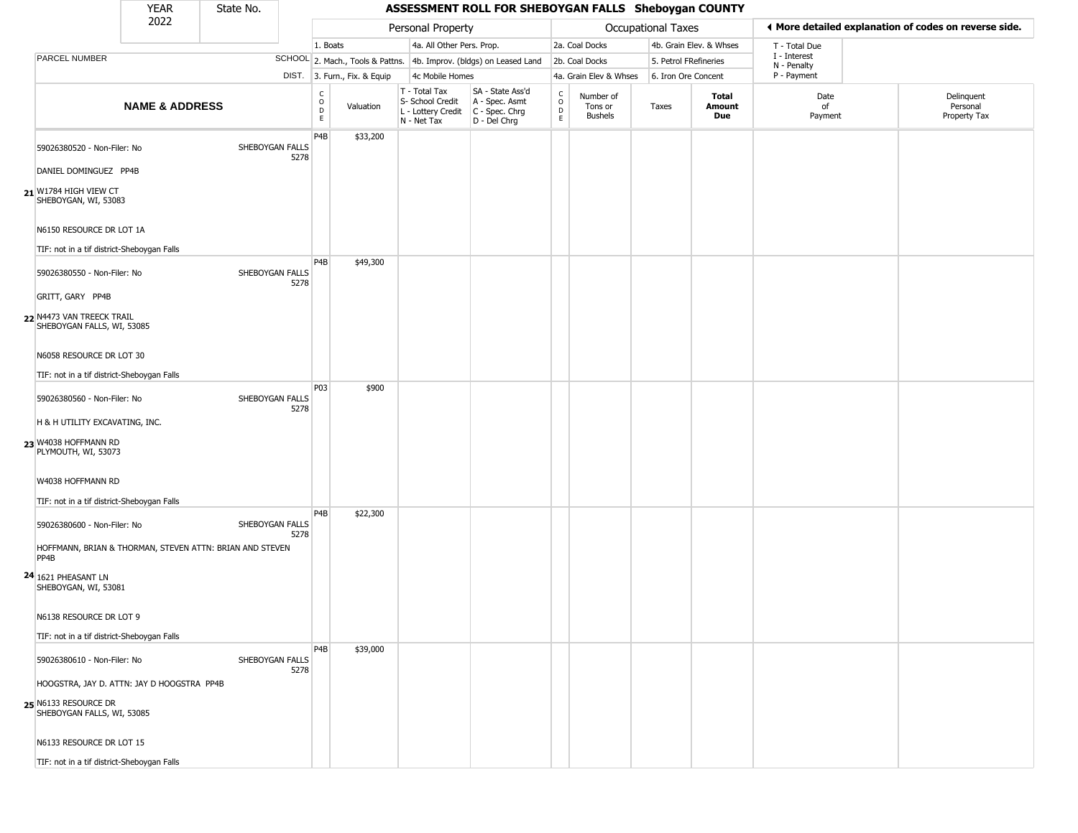### YEAR **A State No. 45SESSMENT ROLL FOR SHEBOYGAN FALLS Sheboygan COUNTY** 2022 DIST. 3. Furn., Fix. & Equip PARCEL NUMBER **NAME & ADDRESS** State No. C O D E Valuation T - Total Tax S- School Credit A - Spec. Asmt L - Lottery Credit C - Spec. Chrg N - Net Tax SA - State Ass'd D - Del Chrg C O D E Number of Tons or Bushels Taxes **Total Amount Due** Date of Payment Delinquent Personal Property Tax Personal Property **Personal Property Personal Taxes** 1. Boats **4a. All Other Pers. Prop.** 2a. Coal Docks 4b. Grain Elev. & Whses SCHOOL 2. Mach., Tools & Pattns. 4b. Improv. (bldgs) on Leased Land 2b. Coal Docks 5. Petrol FRefineries 4c Mobile Homes 4a. Grain Elev & Whses 6. Iron Ore Concent T - Total Due I - Interest N - Penalty P - Payment 3**More detailed explanation of codes on reverse side. 21** W1784 HIGH VIEW CT 59026380520 - Non-Filer: No SHEBOYGAN FALLS 5278 DANIEL DOMINGUEZ PP4B SHEBOYGAN, WI, 53083 N6150 RESOURCE DR LOT 1A TIF: not in a tif district-Sheboygan Falls P4B \$33,200 **22** N4473 VAN TREECK TRAIL 59026380550 - Non-Filer: No SHEBOYGAN FALLS 5278 GRITT, GARY PP4B SHEBOYGAN FALLS, WI, 53085 N6058 RESOURCE DR LOT 30 TIF: not in a tif district-Sheboygan Falls P4B \$49,300 **23** W4038 HOFFMANN RD 59026380560 - Non-Filer: No SHEBOYGAN FALLS 5278 H & H UTILITY EXCAVATING, INC. PLYMOUTH, WI, 53073 W4038 HOFFMANN RD TIF: not in a tif district-Sheboygan Falls P03 \$900 **24** 1621 PHEASANT LN 59026380600 - Non-Filer: No SHEBOYGAN FALLS 5278 HOFFMANN, BRIAN & THORMAN, STEVEN ATTN: BRIAN AND STEVEN PP4B SHEBOYGAN, WI, 53081 N6138 RESOURCE DR LOT 9 TIF: not in a tif district-Sheboygan Falls P4B \$22,300 **25** N6133 RESOURCE DR 59026380610 - Non-Filer: No SHEBOYGAN FALLS 5278 HOOGSTRA, JAY D. ATTN: JAY D HOOGSTRA PP4B SHEBOYGAN FALLS, WI, 53085 N6133 RESOURCE DR LOT 15 TIF: not in a tif district-Sheboygan Falls P4B \$39,000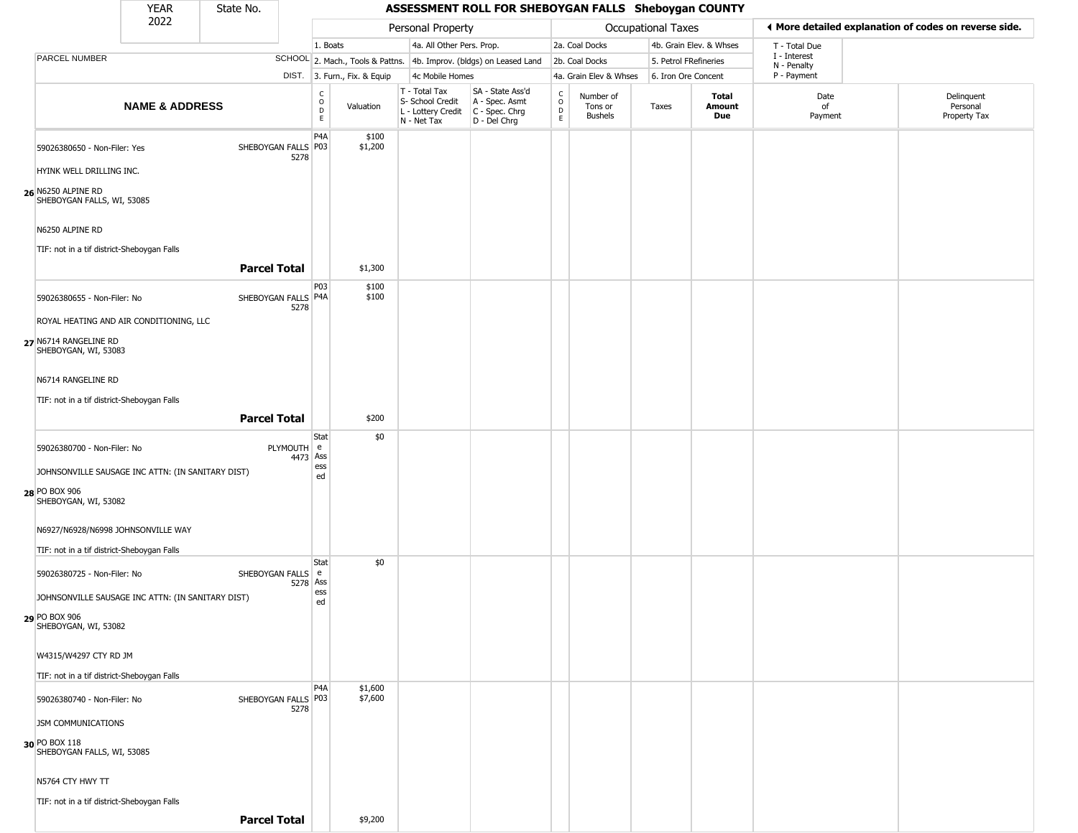|                                                          | <b>YEAR</b>               | State No.           |                             |                                                          |                              |                                                                        | ASSESSMENT ROLL FOR SHEBOYGAN FALLS Sheboygan COUNTY                 |                                   |                                        |       |                         |                             |                                                       |
|----------------------------------------------------------|---------------------------|---------------------|-----------------------------|----------------------------------------------------------|------------------------------|------------------------------------------------------------------------|----------------------------------------------------------------------|-----------------------------------|----------------------------------------|-------|-------------------------|-----------------------------|-------------------------------------------------------|
|                                                          | 2022                      |                     |                             |                                                          |                              | Personal Property                                                      |                                                                      |                                   | Occupational Taxes                     |       |                         |                             | ♦ More detailed explanation of codes on reverse side. |
|                                                          |                           |                     |                             | 1. Boats                                                 |                              | 4a. All Other Pers. Prop.                                              |                                                                      |                                   | 2a. Coal Docks                         |       | 4b. Grain Elev. & Whses | T - Total Due               |                                                       |
| <b>PARCEL NUMBER</b>                                     |                           |                     |                             |                                                          |                              |                                                                        | SCHOOL 2. Mach., Tools & Pattns. 4b. Improv. (bldgs) on Leased Land  |                                   | 2b. Coal Docks                         |       | 5. Petrol FRefineries   | I - Interest<br>N - Penalty |                                                       |
|                                                          |                           |                     |                             |                                                          | DIST. 3. Furn., Fix. & Equip | 4c Mobile Homes                                                        |                                                                      |                                   | 4a. Grain Elev & Whses                 |       | 6. Iron Ore Concent     | P - Payment                 |                                                       |
|                                                          | <b>NAME &amp; ADDRESS</b> |                     |                             | $\begin{smallmatrix} C \\ O \\ D \end{smallmatrix}$<br>E | Valuation                    | T - Total Tax<br>S- School Credit<br>L - Lottery Credit<br>N - Net Tax | SA - State Ass'd<br>A - Spec. Asmt<br>C - Spec. Chrg<br>D - Del Chrg | $\mathsf{C}$<br>$\circ$<br>D<br>E | Number of<br>Tons or<br><b>Bushels</b> | Taxes | Total<br>Amount<br>Due  | Date<br>of<br>Payment       | Delinquent<br>Personal<br>Property Tax                |
| 59026380650 - Non-Filer: Yes<br>HYINK WELL DRILLING INC. |                           |                     | SHEBOYGAN FALLS P03<br>5278 | P <sub>4</sub> A                                         | \$100<br>\$1,200             |                                                                        |                                                                      |                                   |                                        |       |                         |                             |                                                       |
| 26 N6250 ALPINE RD<br>SHEBOYGAN FALLS, WI, 53085         |                           |                     |                             |                                                          |                              |                                                                        |                                                                      |                                   |                                        |       |                         |                             |                                                       |
| N6250 ALPINE RD                                          |                           |                     |                             |                                                          |                              |                                                                        |                                                                      |                                   |                                        |       |                         |                             |                                                       |
| TIF: not in a tif district-Sheboygan Falls               |                           |                     |                             |                                                          |                              |                                                                        |                                                                      |                                   |                                        |       |                         |                             |                                                       |
|                                                          |                           | <b>Parcel Total</b> |                             |                                                          | \$1,300                      |                                                                        |                                                                      |                                   |                                        |       |                         |                             |                                                       |
| 59026380655 - Non-Filer: No                              |                           |                     | SHEBOYGAN FALLS P4A<br>5278 | <b>P03</b>                                               | \$100<br>\$100               |                                                                        |                                                                      |                                   |                                        |       |                         |                             |                                                       |
| ROYAL HEATING AND AIR CONDITIONING, LLC                  |                           |                     |                             |                                                          |                              |                                                                        |                                                                      |                                   |                                        |       |                         |                             |                                                       |
| 27 N6714 RANGELINE RD<br>SHEBOYGAN, WI, 53083            |                           |                     |                             |                                                          |                              |                                                                        |                                                                      |                                   |                                        |       |                         |                             |                                                       |
| N6714 RANGELINE RD                                       |                           |                     |                             |                                                          |                              |                                                                        |                                                                      |                                   |                                        |       |                         |                             |                                                       |
| TIF: not in a tif district-Sheboygan Falls               |                           |                     |                             |                                                          |                              |                                                                        |                                                                      |                                   |                                        |       |                         |                             |                                                       |
|                                                          |                           | <b>Parcel Total</b> |                             |                                                          | \$200                        |                                                                        |                                                                      |                                   |                                        |       |                         |                             |                                                       |
| 59026380700 - Non-Filer: No                              |                           |                     | PLYMOUTH e<br>4473          | <b>Stat</b><br>Ass                                       | \$0                          |                                                                        |                                                                      |                                   |                                        |       |                         |                             |                                                       |
| JOHNSONVILLE SAUSAGE INC ATTN: (IN SANITARY DIST)        |                           |                     |                             | ess<br>ed                                                |                              |                                                                        |                                                                      |                                   |                                        |       |                         |                             |                                                       |
| 28 PO BOX 906<br>SHEBOYGAN, WI, 53082                    |                           |                     |                             |                                                          |                              |                                                                        |                                                                      |                                   |                                        |       |                         |                             |                                                       |
| N6927/N6928/N6998 JOHNSONVILLE WAY                       |                           |                     |                             |                                                          |                              |                                                                        |                                                                      |                                   |                                        |       |                         |                             |                                                       |
| TIF: not in a tif district-Sheboygan Falls               |                           |                     |                             |                                                          |                              |                                                                        |                                                                      |                                   |                                        |       |                         |                             |                                                       |
| 59026380725 - Non-Filer: No                              |                           |                     | SHEBOYGAN FALLS   e         | Stat                                                     | \$0                          |                                                                        |                                                                      |                                   |                                        |       |                         |                             |                                                       |

| N6927/N6928/N6998 JOHNSONVILLE WAY                                                                                  |                   |                    |  |  |  |  |  |
|---------------------------------------------------------------------------------------------------------------------|-------------------|--------------------|--|--|--|--|--|
| TIF: not in a tif district-Sheboygan Falls                                                                          |                   |                    |  |  |  |  |  |
| 59026380725 - Non-Filer: No<br>SHEBOYGAN FALLS   e<br>5278 Ass<br>JOHNSONVILLE SAUSAGE INC ATTN: (IN SANITARY DIST) | Stat<br>ess<br>ed | \$0                |  |  |  |  |  |
|                                                                                                                     |                   |                    |  |  |  |  |  |
| 29 PO BOX 906<br>SHEBOYGAN, WI, 53082                                                                               |                   |                    |  |  |  |  |  |
|                                                                                                                     |                   |                    |  |  |  |  |  |
| W4315/W4297 CTY RD JM                                                                                               |                   |                    |  |  |  |  |  |
| TIF: not in a tif district-Sheboygan Falls                                                                          |                   |                    |  |  |  |  |  |
| SHEBOYGAN FALLS   P03<br>59026380740 - Non-Filer: No<br>5278                                                        | P <sub>4</sub> A  | \$1,600<br>\$7,600 |  |  |  |  |  |
| JSM COMMUNICATIONS                                                                                                  |                   |                    |  |  |  |  |  |
| 30 PO BOX 118<br>SHEBOYGAN FALLS, WI, 53085                                                                         |                   |                    |  |  |  |  |  |
| N5764 CTY HWY TT                                                                                                    |                   |                    |  |  |  |  |  |
| TIF: not in a tif district-Sheboygan Falls                                                                          |                   |                    |  |  |  |  |  |
| <b>Parcel Total</b>                                                                                                 |                   | \$9,200            |  |  |  |  |  |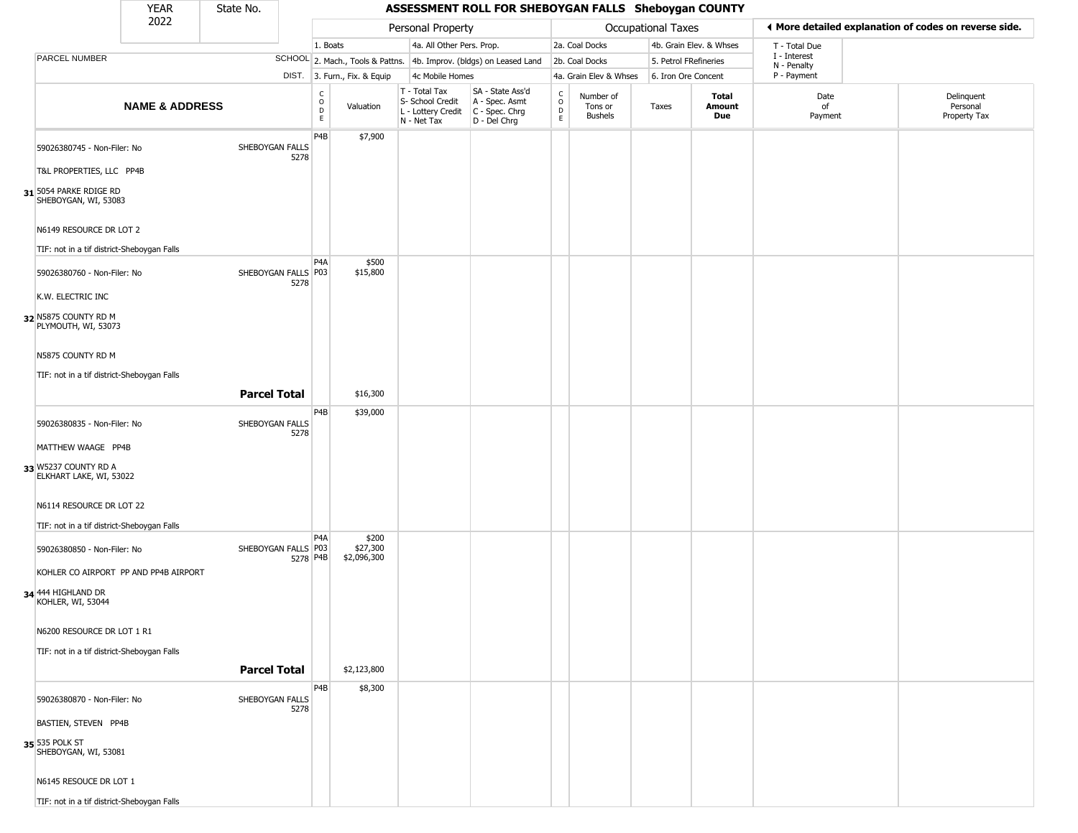#### YEAR **A State No. 45SESSMENT ROLL FOR SHEBOYGAN FALLS Sheboygan COUNTY** 2022 DIST. 3. Furn., Fix. & Equip PARCEL NUMBER **NAME & ADDRESS** State No. C O D E Valuation T - Total Tax S- School Credit A - Spec. Asmt L - Lottery Credit C - Spec. Chrg N - Net Tax SA - State Ass'd D - Del Chrg C O D E Number of Tons or Bushels Taxes **Total Amount Due** Date of Payment Delinquent Personal Property Tax Personal Property **Calculational Taxes** 1. Boats **4a. All Other Pers. Prop.** 2a. Coal Docks 4b. Grain Elev. & Whses SCHOOL 2. Mach., Tools & Pattns. 4b. Improv. (bldgs) on Leased Land 2b. Coal Docks 5. Petrol FRefineries 4c Mobile Homes 4a. Grain Elev & Whses 6. Iron Ore Concent T - Total Due I - Interest N - Penalty P - Payment 3**More detailed explanation of codes on reverse side. 31** 5054 PARKE RDIGE RD 59026380745 - Non-Filer: No SHEBOYGAN FALLS 5278 T&L PROPERTIES, LLC PP4B SHEBOYGAN, WI, 53083 N6149 RESOURCE DR LOT 2 TIF: not in a tif district-Sheboygan Falls P4B \$7,900 **32** N5875 COUNTY RD M 59026380760 - Non-Filer: No 5278 K.W. ELECTRIC INC PLYMOUTH, WI, 53073 N5875 COUNTY RD M TIF: not in a tif district-Sheboygan Falls P4A SHEBOYGAN FALLS P03 \$500 \$15,800 **Parcel Total | \$16,300 33** W5237 COUNTY RD A 59026380835 - Non-Filer: No SHEBOYGAN FALLS 5278 MATTHEW WAAGE PP4B ELKHART LAKE, WI, 53022 N6114 RESOURCE DR LOT 22 TIF: not in a tif district-Sheboygan Falls P4B \$39,000 **34** 444 HIGHLAND DR 59026380850 - Non-Filer: No 5278 P4B KOHLER CO AIRPORT PP AND PP4B AIRPORT KOHLER, WI, 53044 N6200 RESOURCE DR LOT 1 R1 TIF: not in a tif district-Sheboygan Falls  $PA<sub>A</sub>$ SHEBOYGAN FALLS | P03 \$200 \$27,300 \$2,096,300 **Parcel Total** \$2,123,800 **35** 535 POLK ST 59026380870 - Non-Filer: No SHEBOYGAN FALLS 5278 BASTIEN, STEVEN PP4B SHEBOYGAN, WI, 53081 N6145 RESOUCE DR LOT 1 P4B \$8,300

TIF: not in a tif district-Sheboygan Falls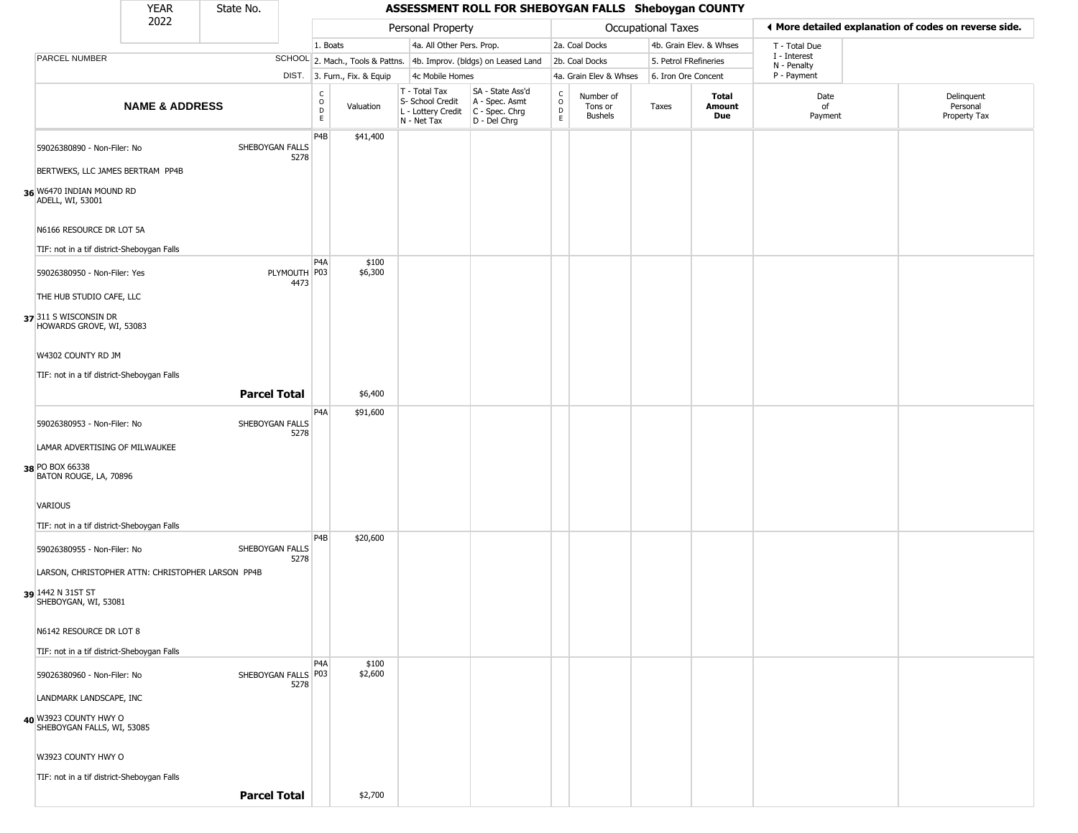| YFAR | State No. |
|------|-----------|
| 2022 |           |

|                                                     | <b>YEAR</b>               | State No.                   | ASSESSMENT ROLL FOR SHEBOYGAN FALLS Sheboygan COUNTY |                              |                                                                                         |                                                                     |                         |                                        |                           |                         |                             |                                                       |  |  |
|-----------------------------------------------------|---------------------------|-----------------------------|------------------------------------------------------|------------------------------|-----------------------------------------------------------------------------------------|---------------------------------------------------------------------|-------------------------|----------------------------------------|---------------------------|-------------------------|-----------------------------|-------------------------------------------------------|--|--|
|                                                     | 2022                      |                             |                                                      |                              | Personal Property                                                                       |                                                                     |                         |                                        | <b>Occupational Taxes</b> |                         |                             | ◀ More detailed explanation of codes on reverse side. |  |  |
|                                                     |                           |                             | 1. Boats                                             |                              | 4a. All Other Pers. Prop.                                                               |                                                                     |                         | 2a. Coal Docks                         |                           | 4b. Grain Elev. & Whses | T - Total Due               |                                                       |  |  |
| PARCEL NUMBER                                       |                           |                             |                                                      |                              |                                                                                         | SCHOOL 2. Mach., Tools & Pattns. 4b. Improv. (bldgs) on Leased Land |                         | 2b. Coal Docks                         | 5. Petrol FRefineries     |                         | I - Interest<br>N - Penalty |                                                       |  |  |
|                                                     |                           |                             |                                                      | DIST. 3. Furn., Fix. & Equip | 4c Mobile Homes                                                                         |                                                                     |                         | 4a. Grain Elev & Whses                 | 6. Iron Ore Concent       |                         | P - Payment                 |                                                       |  |  |
|                                                     | <b>NAME &amp; ADDRESS</b> |                             | C<br>0<br>D<br>E                                     | Valuation                    | T - Total Tax<br>S- School Credit<br>L - Lottery Credit   C - Spec. Chrg<br>N - Net Tax | SA - State Ass'd<br>A - Spec. Asmt<br>D - Del Chrg                  | $\frac{c}{0}$<br>D<br>E | Number of<br>Tons or<br><b>Bushels</b> | Taxes                     | Total<br>Amount<br>Due  | Date<br>of<br>Payment       | Delinquent<br>Personal<br>Property Tax                |  |  |
| 59026380890 - Non-Filer: No                         |                           | SHEBOYGAN FALLS<br>5278     | P4B                                                  | \$41,400                     |                                                                                         |                                                                     |                         |                                        |                           |                         |                             |                                                       |  |  |
| BERTWEKS, LLC JAMES BERTRAM PP4B                    |                           |                             |                                                      |                              |                                                                                         |                                                                     |                         |                                        |                           |                         |                             |                                                       |  |  |
| 36 W6470 INDIAN MOUND RD<br>ADELL, WI, 53001        |                           |                             |                                                      |                              |                                                                                         |                                                                     |                         |                                        |                           |                         |                             |                                                       |  |  |
| N6166 RESOURCE DR LOT 5A                            |                           |                             |                                                      |                              |                                                                                         |                                                                     |                         |                                        |                           |                         |                             |                                                       |  |  |
| TIF: not in a tif district-Sheboygan Falls          |                           |                             | P <sub>4</sub> A                                     | \$100                        |                                                                                         |                                                                     |                         |                                        |                           |                         |                             |                                                       |  |  |
| 59026380950 - Non-Filer: Yes                        |                           | PLYMOUTH P03<br>4473        |                                                      | \$6,300                      |                                                                                         |                                                                     |                         |                                        |                           |                         |                             |                                                       |  |  |
| THE HUB STUDIO CAFE, LLC                            |                           |                             |                                                      |                              |                                                                                         |                                                                     |                         |                                        |                           |                         |                             |                                                       |  |  |
| 37 311 S WISCONSIN DR<br>HOWARDS GROVE, WI, 53083   |                           |                             |                                                      |                              |                                                                                         |                                                                     |                         |                                        |                           |                         |                             |                                                       |  |  |
| W4302 COUNTY RD JM                                  |                           |                             |                                                      |                              |                                                                                         |                                                                     |                         |                                        |                           |                         |                             |                                                       |  |  |
| TIF: not in a tif district-Sheboygan Falls          |                           | <b>Parcel Total</b>         |                                                      | \$6,400                      |                                                                                         |                                                                     |                         |                                        |                           |                         |                             |                                                       |  |  |
|                                                     |                           |                             | P4A                                                  | \$91,600                     |                                                                                         |                                                                     |                         |                                        |                           |                         |                             |                                                       |  |  |
| 59026380953 - Non-Filer: No                         |                           | SHEBOYGAN FALLS<br>5278     |                                                      |                              |                                                                                         |                                                                     |                         |                                        |                           |                         |                             |                                                       |  |  |
| LAMAR ADVERTISING OF MILWAUKEE                      |                           |                             |                                                      |                              |                                                                                         |                                                                     |                         |                                        |                           |                         |                             |                                                       |  |  |
| 38 PO BOX 66338<br>BATON ROUGE, LA, 70896           |                           |                             |                                                      |                              |                                                                                         |                                                                     |                         |                                        |                           |                         |                             |                                                       |  |  |
| VARIOUS                                             |                           |                             |                                                      |                              |                                                                                         |                                                                     |                         |                                        |                           |                         |                             |                                                       |  |  |
| TIF: not in a tif district-Sheboygan Falls          |                           |                             |                                                      |                              |                                                                                         |                                                                     |                         |                                        |                           |                         |                             |                                                       |  |  |
| 59026380955 - Non-Filer: No                         |                           | SHEBOYGAN FALLS<br>5278     | P <sub>4</sub> B                                     | \$20,600                     |                                                                                         |                                                                     |                         |                                        |                           |                         |                             |                                                       |  |  |
| LARSON, CHRISTOPHER ATTN: CHRISTOPHER LARSON PP4B   |                           |                             |                                                      |                              |                                                                                         |                                                                     |                         |                                        |                           |                         |                             |                                                       |  |  |
| 39 1442 N 31ST ST<br>SHEBOYGAN, WI, 53081           |                           |                             |                                                      |                              |                                                                                         |                                                                     |                         |                                        |                           |                         |                             |                                                       |  |  |
| N6142 RESOURCE DR LOT 8                             |                           |                             |                                                      |                              |                                                                                         |                                                                     |                         |                                        |                           |                         |                             |                                                       |  |  |
| TIF: not in a tif district-Sheboygan Falls          |                           |                             |                                                      |                              |                                                                                         |                                                                     |                         |                                        |                           |                         |                             |                                                       |  |  |
| 59026380960 - Non-Filer: No                         |                           | SHEBOYGAN FALLS P03<br>5278 | P <sub>4</sub> A                                     | \$100<br>\$2,600             |                                                                                         |                                                                     |                         |                                        |                           |                         |                             |                                                       |  |  |
| LANDMARK LANDSCAPE, INC                             |                           |                             |                                                      |                              |                                                                                         |                                                                     |                         |                                        |                           |                         |                             |                                                       |  |  |
| 40 W3923 COUNTY HWY O<br>SHEBOYGAN FALLS, WI, 53085 |                           |                             |                                                      |                              |                                                                                         |                                                                     |                         |                                        |                           |                         |                             |                                                       |  |  |
| W3923 COUNTY HWY O                                  |                           |                             |                                                      |                              |                                                                                         |                                                                     |                         |                                        |                           |                         |                             |                                                       |  |  |
| TIF: not in a tif district-Sheboygan Falls          |                           |                             |                                                      |                              |                                                                                         |                                                                     |                         |                                        |                           |                         |                             |                                                       |  |  |
|                                                     |                           | <b>Parcel Total</b>         |                                                      | \$2,700                      |                                                                                         |                                                                     |                         |                                        |                           |                         |                             |                                                       |  |  |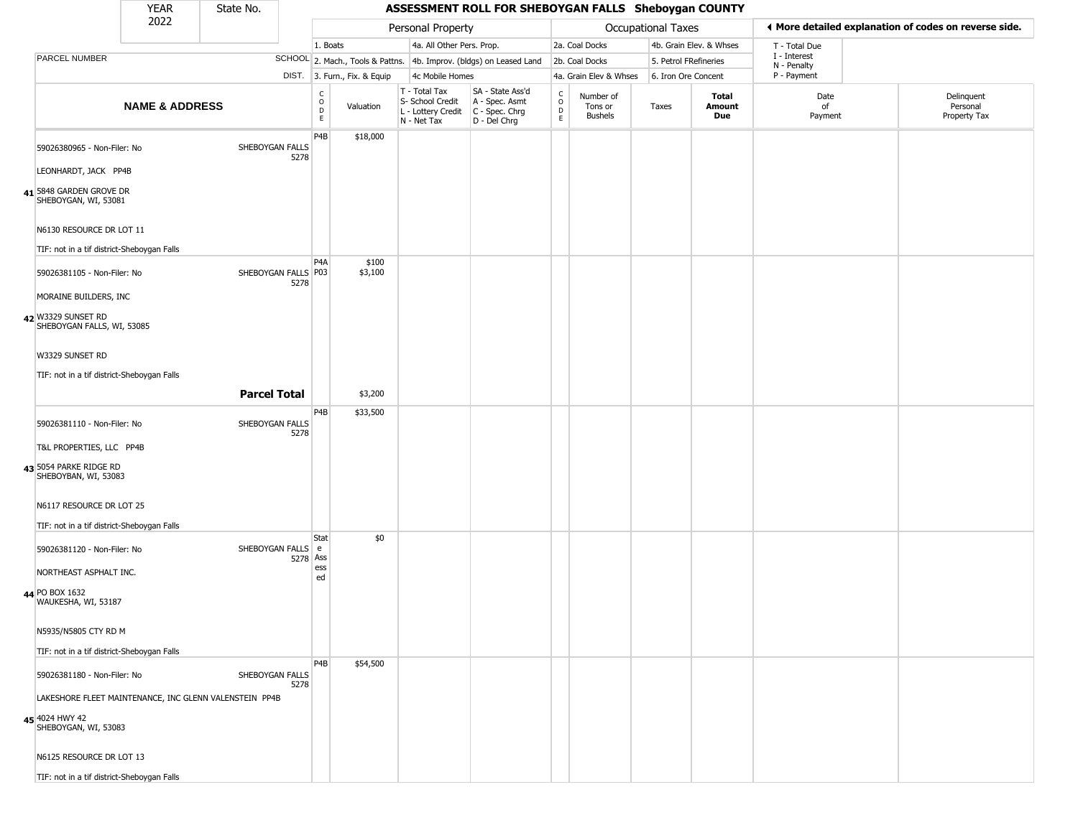#### YEAR **A State No. 45SESSMENT ROLL FOR SHEBOYGAN FALLS Sheboygan COUNTY** 2022 DIST. 3. Furn., Fix. & Equip PARCEL NUMBER **NAME & ADDRESS** State No. C O D E Valuation T - Total Tax S- School Credit A - Spec. Asmt L - Lottery Credit C - Spec. Chrg N - Net Tax SA - State Ass'd D - Del Chrg C O D E Number of Tons or Bushels Taxes **Total Amount Due** Date of Payment Delinquent Personal Property Tax Personal Property **Personal Property Personal Taxes** 1. Boats **4a. All Other Pers. Prop.** 2a. Coal Docks 4b. Grain Elev. & Whses SCHOOL 2. Mach., Tools & Pattns. 4b. Improv. (bldgs) on Leased Land 2b. Coal Docks 5. Petrol FRefineries 4c Mobile Homes 4a. Grain Elev & Whses 6. Iron Ore Concent T - Total Due I - Interest N - Penalty P - Payment 3**More detailed explanation of codes on reverse side. 41** 5848 GARDEN GROVE DR 59026380965 - Non-Filer: No SHEBOYGAN FALLS 5278 LEONHARDT, JACK PP4B SHEBOYGAN, WI, 53081 N6130 RESOURCE DR LOT 11 TIF: not in a tif district-Sheboygan Falls P4B \$18,000 **42** W3329 SUNSET RD 59026381105 - Non-Filer: No 5278 MORAINE BUILDERS, INC SHEBOYGAN FALLS, WI, 53085 W3329 SUNSET RD TIF: not in a tif district-Sheboygan Falls P4A SHEBOYGAN FALLS P03 \$100 \$3,100 **Parcel Total 1** \$3,200 **43** 5054 PARKE RIDGE RD 59026381110 - Non-Filer: No SHEBOYGAN FALLS 5278 T&L PROPERTIES, LLC PP4B SHEBOYBAN, WI, 53083 N6117 RESOURCE DR LOT 25 TIF: not in a tif district-Sheboygan Falls P4B \$33,500 **44** PO BOX 1632 59026381120 - Non-Filer: No 5278 Ass NORTHEAST ASPHALT INC. WAUKESHA, WI, 53187 N5935/N5805 CTY RD M TIF: not in a tif district-Sheboygan Falls **Stat** SHEBOYGAN FALLS e ess ed \$0 **45** 4024 HWY 42 59026381180 - Non-Filer: No SHEBOYGAN FALLS 5278 LAKESHORE FLEET MAINTENANCE, INC GLENN VALENSTEIN PP4B SHEBOYGAN, WI, 53083 N6125 RESOURCE DR LOT 13 TIF: not in a tif district-Sheboygan Falls P4B \$54,500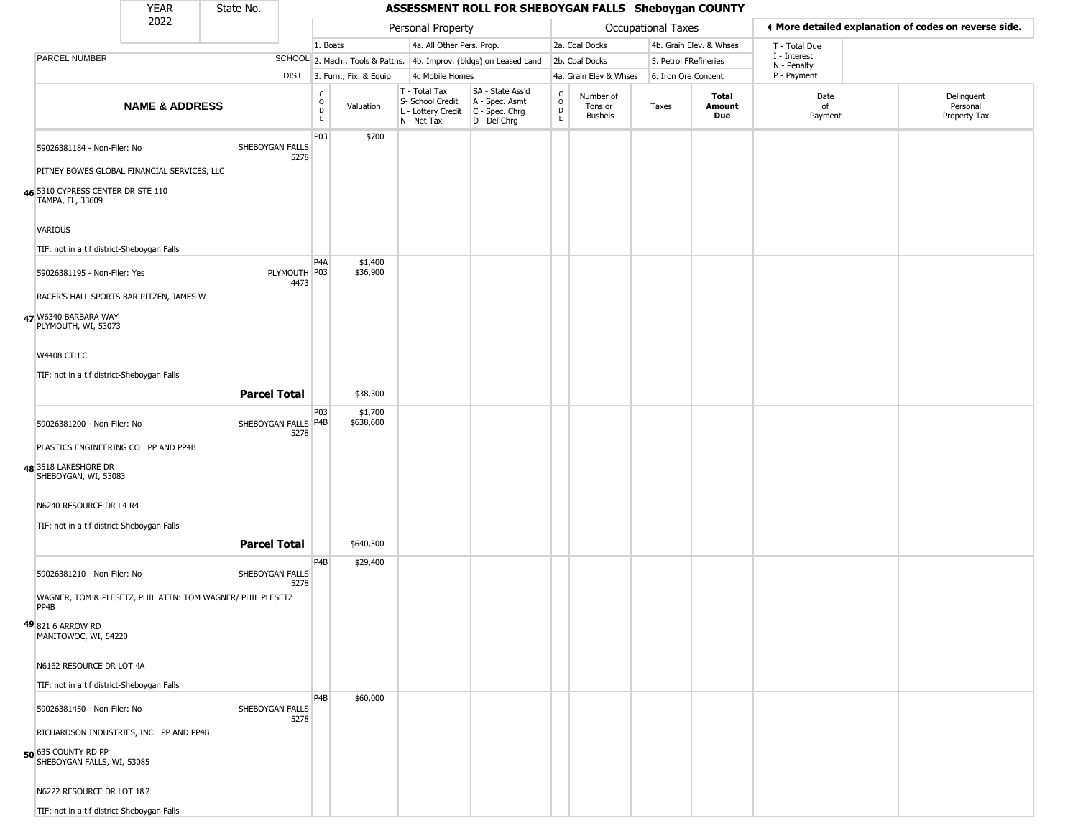# State No.

|                                                       | 2022                                                       |                             |                  |                              | Personal Property                                                      |                                                                      |                                     |                                        | Occupational Taxes    |                         |                             | ◀ More detailed explanation of codes on reverse side. |  |
|-------------------------------------------------------|------------------------------------------------------------|-----------------------------|------------------|------------------------------|------------------------------------------------------------------------|----------------------------------------------------------------------|-------------------------------------|----------------------------------------|-----------------------|-------------------------|-----------------------------|-------------------------------------------------------|--|
|                                                       |                                                            |                             | 1. Boats         |                              | 4a. All Other Pers. Prop.                                              |                                                                      |                                     | 2a. Coal Docks                         |                       | 4b. Grain Elev. & Whses | T - Total Due               |                                                       |  |
| PARCEL NUMBER                                         |                                                            |                             |                  |                              |                                                                        | SCHOOL 2. Mach., Tools & Pattns. 4b. Improv. (bldgs) on Leased Land  |                                     | 2b. Coal Docks                         | 5. Petrol FRefineries |                         | I - Interest<br>N - Penalty |                                                       |  |
|                                                       |                                                            |                             |                  | DIST. 3. Furn., Fix. & Equip | 4c Mobile Homes                                                        |                                                                      |                                     | 4a. Grain Elev & Whses                 | 6. Iron Ore Concent   |                         | P - Payment                 |                                                       |  |
|                                                       | <b>NAME &amp; ADDRESS</b>                                  |                             | C<br>0<br>D<br>E | Valuation                    | T - Total Tax<br>S- School Credit<br>L - Lottery Credit<br>N - Net Tax | SA - State Ass'd<br>A - Spec. Asmt<br>C - Spec. Chrg<br>D - Del Chrg | $\rm_{o}^{c}$<br>$\mathsf{D}$<br>E. | Number of<br>Tons or<br><b>Bushels</b> | Taxes                 | Total<br>Amount<br>Due  | Date<br>of<br>Payment       | Delinquent<br>Personal<br>Property Tax                |  |
| 59026381184 - Non-Filer: No                           |                                                            | SHEBOYGAN FALLS             | P03              | \$700                        |                                                                        |                                                                      |                                     |                                        |                       |                         |                             |                                                       |  |
|                                                       | PITNEY BOWES GLOBAL FINANCIAL SERVICES, LLC                | 5278                        |                  |                              |                                                                        |                                                                      |                                     |                                        |                       |                         |                             |                                                       |  |
| 46 5310 CYPRESS CENTER DR STE 110<br>TAMPA, FL, 33609 |                                                            |                             |                  |                              |                                                                        |                                                                      |                                     |                                        |                       |                         |                             |                                                       |  |
| VARIOUS                                               |                                                            |                             |                  |                              |                                                                        |                                                                      |                                     |                                        |                       |                         |                             |                                                       |  |
| TIF: not in a tif district-Sheboygan Falls            |                                                            |                             |                  |                              |                                                                        |                                                                      |                                     |                                        |                       |                         |                             |                                                       |  |
| 59026381195 - Non-Filer: Yes                          |                                                            | PLYMOUTH P03<br>4473        | P4A              | \$1,400<br>\$36,900          |                                                                        |                                                                      |                                     |                                        |                       |                         |                             |                                                       |  |
|                                                       | RACER'S HALL SPORTS BAR PITZEN, JAMES W                    |                             |                  |                              |                                                                        |                                                                      |                                     |                                        |                       |                         |                             |                                                       |  |
| 47 W6340 BARBARA WAY<br>PLYMOUTH, WI, 53073           |                                                            |                             |                  |                              |                                                                        |                                                                      |                                     |                                        |                       |                         |                             |                                                       |  |
| <b>W4408 CTH C</b>                                    |                                                            |                             |                  |                              |                                                                        |                                                                      |                                     |                                        |                       |                         |                             |                                                       |  |
| TIF: not in a tif district-Sheboygan Falls            |                                                            |                             |                  |                              |                                                                        |                                                                      |                                     |                                        |                       |                         |                             |                                                       |  |
|                                                       |                                                            | <b>Parcel Total</b>         |                  | \$38,300                     |                                                                        |                                                                      |                                     |                                        |                       |                         |                             |                                                       |  |
|                                                       |                                                            |                             | P03              | \$1,700                      |                                                                        |                                                                      |                                     |                                        |                       |                         |                             |                                                       |  |
| 59026381200 - Non-Filer: No                           |                                                            | SHEBOYGAN FALLS P4B<br>5278 |                  | \$638,600                    |                                                                        |                                                                      |                                     |                                        |                       |                         |                             |                                                       |  |
|                                                       | PLASTICS ENGINEERING CO PP AND PP4B                        |                             |                  |                              |                                                                        |                                                                      |                                     |                                        |                       |                         |                             |                                                       |  |
| 48 3518 LAKESHORE DR<br>SHEBOYGAN, WI, 53083          |                                                            |                             |                  |                              |                                                                        |                                                                      |                                     |                                        |                       |                         |                             |                                                       |  |
| N6240 RESOURCE DR L4 R4                               |                                                            |                             |                  |                              |                                                                        |                                                                      |                                     |                                        |                       |                         |                             |                                                       |  |
| TIF: not in a tif district-Sheboygan Falls            |                                                            |                             |                  |                              |                                                                        |                                                                      |                                     |                                        |                       |                         |                             |                                                       |  |
|                                                       |                                                            | <b>Parcel Total</b>         |                  | \$640,300                    |                                                                        |                                                                      |                                     |                                        |                       |                         |                             |                                                       |  |
| 59026381210 - Non-Filer: No                           |                                                            | SHEBOYGAN FALLS<br>5278     | P4B              | \$29,400                     |                                                                        |                                                                      |                                     |                                        |                       |                         |                             |                                                       |  |
| PP4B                                                  | WAGNER, TOM & PLESETZ, PHIL ATTN: TOM WAGNER/ PHIL PLESETZ |                             |                  |                              |                                                                        |                                                                      |                                     |                                        |                       |                         |                             |                                                       |  |
| $49 8216$ Arrow RD<br>MANITOWOC, WI, 54220            |                                                            |                             |                  |                              |                                                                        |                                                                      |                                     |                                        |                       |                         |                             |                                                       |  |
| N6162 RESOURCE DR LOT 4A                              |                                                            |                             |                  |                              |                                                                        |                                                                      |                                     |                                        |                       |                         |                             |                                                       |  |
| TIF: not in a tif district-Sheboygan Falls            |                                                            |                             |                  |                              |                                                                        |                                                                      |                                     |                                        |                       |                         |                             |                                                       |  |
| 59026381450 - Non-Filer: No                           |                                                            | SHEBOYGAN FALLS<br>5278     | P <sub>4</sub> B | \$60,000                     |                                                                        |                                                                      |                                     |                                        |                       |                         |                             |                                                       |  |
|                                                       | RICHARDSON INDUSTRIES, INC PP AND PP4B                     |                             |                  |                              |                                                                        |                                                                      |                                     |                                        |                       |                         |                             |                                                       |  |
| 50 635 COUNTY RD PP<br>SHEBOYGAN FALLS, WI, 53085     |                                                            |                             |                  |                              |                                                                        |                                                                      |                                     |                                        |                       |                         |                             |                                                       |  |
| N6222 RESOURCE DR LOT 1&2                             |                                                            |                             |                  |                              |                                                                        |                                                                      |                                     |                                        |                       |                         |                             |                                                       |  |
| TIF: not in a tif district-Sheboygan Falls            |                                                            |                             |                  |                              |                                                                        |                                                                      |                                     |                                        |                       |                         |                             |                                                       |  |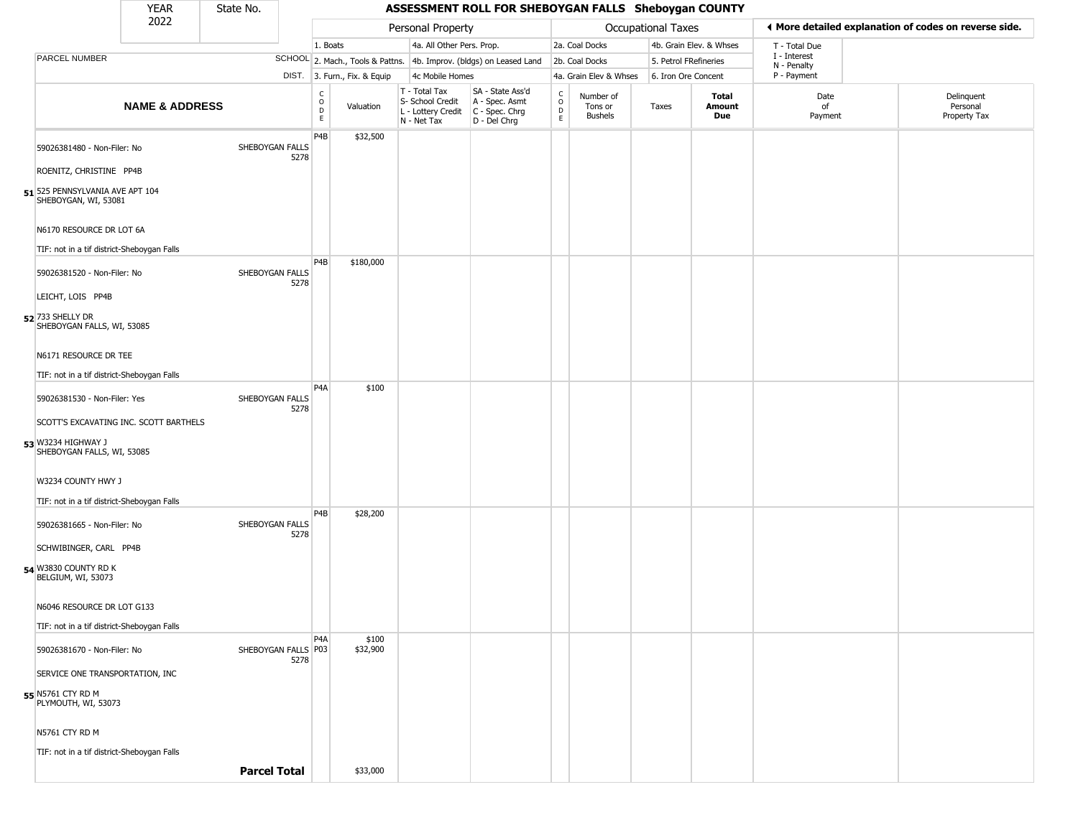| <b>YEAR</b> | State No. |                   | <b>ASSESSMENT ROLL FOR SHEBOYGAN FALLS Sheboygan COUNTY</b> |
|-------------|-----------|-------------------|-------------------------------------------------------------|
| 2022        |           | Personal Property | <b>Occupational Taxes</b>                                   |

|                                                         | 2022                      |                     |      |                         |                              | Personal Property                                                      |                                                                        |                        |                                 | Occupational Taxes    |                         |                             | ← More detailed explanation of codes on reverse side. |
|---------------------------------------------------------|---------------------------|---------------------|------|-------------------------|------------------------------|------------------------------------------------------------------------|------------------------------------------------------------------------|------------------------|---------------------------------|-----------------------|-------------------------|-----------------------------|-------------------------------------------------------|
|                                                         |                           |                     |      | 1. Boats                |                              | 4a. All Other Pers. Prop.                                              |                                                                        |                        | 2a. Coal Docks                  |                       | 4b. Grain Elev. & Whses | T - Total Due               |                                                       |
| PARCEL NUMBER                                           |                           |                     |      |                         |                              |                                                                        | SCHOOL 2. Mach., Tools & Pattns. 4b. Improv. (bldgs) on Leased Land    |                        | 2b. Coal Docks                  | 5. Petrol FRefineries |                         | I - Interest<br>N - Penalty |                                                       |
|                                                         |                           |                     |      |                         | DIST. 3. Furn., Fix. & Equip | 4c Mobile Homes                                                        |                                                                        |                        | 4a. Grain Elev & Whses          | 6. Iron Ore Concent   |                         | P - Payment                 |                                                       |
|                                                         | <b>NAME &amp; ADDRESS</b> |                     |      | C<br>$\circ$<br>D<br>E. | Valuation                    | T - Total Tax<br>S- School Credit<br>L - Lottery Credit<br>N - Net Tax | SA - State Ass'd<br>A - Spec. Asmt<br>$C - Spec. Chrg$<br>D - Del Chrg | C<br>$\circ$<br>D<br>E | Number of<br>Tons or<br>Bushels | Taxes                 | Total<br>Amount<br>Due  | Date<br>of<br>Payment       | Delinquent<br>Personal<br>Property Tax                |
| 59026381480 - Non-Filer: No                             |                           | SHEBOYGAN FALLS     |      | P <sub>4</sub> B        | \$32,500                     |                                                                        |                                                                        |                        |                                 |                       |                         |                             |                                                       |
|                                                         |                           |                     | 5278 |                         |                              |                                                                        |                                                                        |                        |                                 |                       |                         |                             |                                                       |
| ROENITZ, CHRISTINE PP4B                                 |                           |                     |      |                         |                              |                                                                        |                                                                        |                        |                                 |                       |                         |                             |                                                       |
| 51 525 PENNSYLVANIA AVE APT 104<br>SHEBOYGAN, WI, 53081 |                           |                     |      |                         |                              |                                                                        |                                                                        |                        |                                 |                       |                         |                             |                                                       |
| N6170 RESOURCE DR LOT 6A                                |                           |                     |      |                         |                              |                                                                        |                                                                        |                        |                                 |                       |                         |                             |                                                       |
| TIF: not in a tif district-Sheboygan Falls              |                           |                     |      | P <sub>4</sub> B        | \$180,000                    |                                                                        |                                                                        |                        |                                 |                       |                         |                             |                                                       |
| 59026381520 - Non-Filer: No                             |                           | SHEBOYGAN FALLS     | 5278 |                         |                              |                                                                        |                                                                        |                        |                                 |                       |                         |                             |                                                       |
| LEICHT, LOIS PP4B                                       |                           |                     |      |                         |                              |                                                                        |                                                                        |                        |                                 |                       |                         |                             |                                                       |
| 52 733 SHELLY DR<br>SHEBOYGAN FALLS, WI, 53085          |                           |                     |      |                         |                              |                                                                        |                                                                        |                        |                                 |                       |                         |                             |                                                       |
| N6171 RESOURCE DR TEE                                   |                           |                     |      |                         |                              |                                                                        |                                                                        |                        |                                 |                       |                         |                             |                                                       |
| TIF: not in a tif district-Sheboygan Falls              |                           |                     |      |                         |                              |                                                                        |                                                                        |                        |                                 |                       |                         |                             |                                                       |
| 59026381530 - Non-Filer: Yes                            |                           | SHEBOYGAN FALLS     |      | P <sub>4</sub> A        | \$100                        |                                                                        |                                                                        |                        |                                 |                       |                         |                             |                                                       |
| SCOTT'S EXCAVATING INC. SCOTT BARTHELS                  |                           |                     | 5278 |                         |                              |                                                                        |                                                                        |                        |                                 |                       |                         |                             |                                                       |
| 53 W3234 HIGHWAY J<br>SHEBOYGAN FALLS, WI, 53085        |                           |                     |      |                         |                              |                                                                        |                                                                        |                        |                                 |                       |                         |                             |                                                       |
| W3234 COUNTY HWY J                                      |                           |                     |      |                         |                              |                                                                        |                                                                        |                        |                                 |                       |                         |                             |                                                       |
| TIF: not in a tif district-Sheboygan Falls              |                           |                     |      |                         |                              |                                                                        |                                                                        |                        |                                 |                       |                         |                             |                                                       |
| 59026381665 - Non-Filer: No                             |                           | SHEBOYGAN FALLS     |      | P <sub>4</sub> B        | \$28,200                     |                                                                        |                                                                        |                        |                                 |                       |                         |                             |                                                       |
| SCHWIBINGER, CARL PP4B                                  |                           |                     | 5278 |                         |                              |                                                                        |                                                                        |                        |                                 |                       |                         |                             |                                                       |
|                                                         |                           |                     |      |                         |                              |                                                                        |                                                                        |                        |                                 |                       |                         |                             |                                                       |
| 54 W3830 COUNTY RD K<br>BELGIUM, WI, 53073              |                           |                     |      |                         |                              |                                                                        |                                                                        |                        |                                 |                       |                         |                             |                                                       |
| N6046 RESOURCE DR LOT G133                              |                           |                     |      |                         |                              |                                                                        |                                                                        |                        |                                 |                       |                         |                             |                                                       |
| TIF: not in a tif district-Sheboygan Falls              |                           |                     |      |                         |                              |                                                                        |                                                                        |                        |                                 |                       |                         |                             |                                                       |
| 59026381670 - Non-Filer: No                             |                           | SHEBOYGAN FALLS P03 | 5278 | P4A                     | \$100<br>\$32,900            |                                                                        |                                                                        |                        |                                 |                       |                         |                             |                                                       |
| SERVICE ONE TRANSPORTATION, INC                         |                           |                     |      |                         |                              |                                                                        |                                                                        |                        |                                 |                       |                         |                             |                                                       |
| 55 N5761 CTY RD M<br>PLYMOUTH, WI, 53073                |                           |                     |      |                         |                              |                                                                        |                                                                        |                        |                                 |                       |                         |                             |                                                       |
| N5761 CTY RD M                                          |                           |                     |      |                         |                              |                                                                        |                                                                        |                        |                                 |                       |                         |                             |                                                       |
| TIF: not in a tif district-Sheboygan Falls              |                           |                     |      |                         |                              |                                                                        |                                                                        |                        |                                 |                       |                         |                             |                                                       |
|                                                         |                           | <b>Parcel Total</b> |      |                         | \$33,000                     |                                                                        |                                                                        |                        |                                 |                       |                         |                             |                                                       |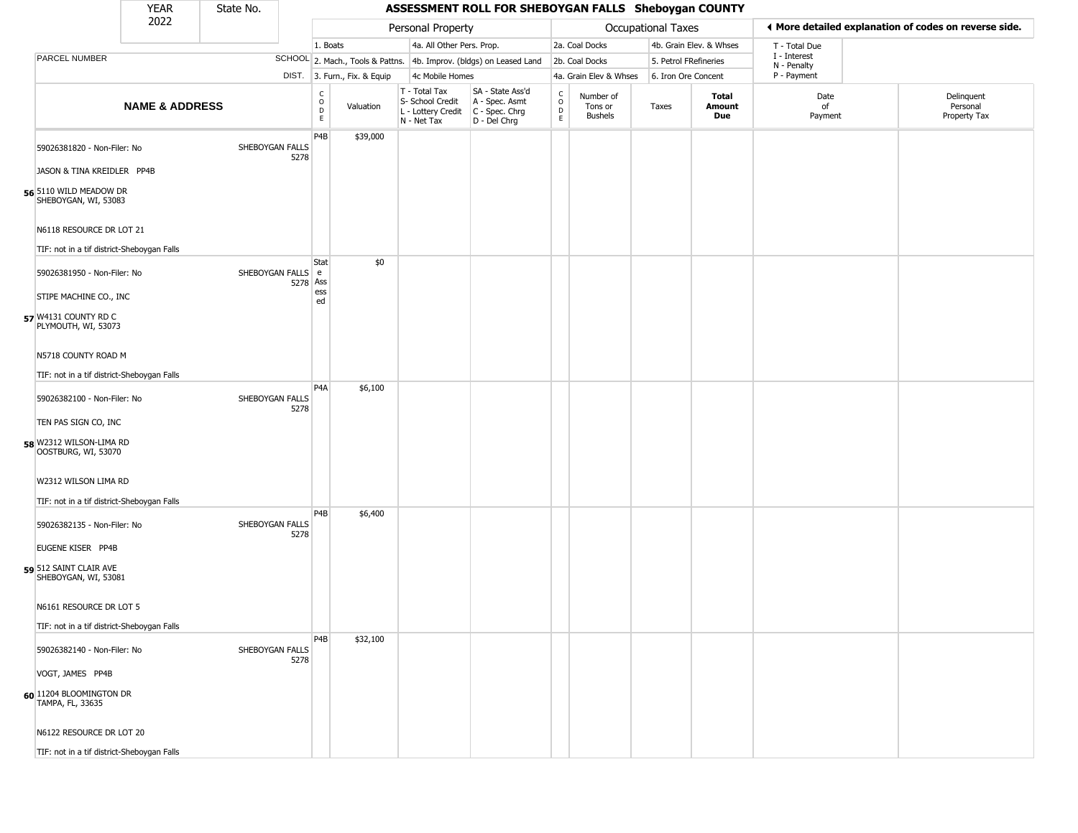|                                                                                                             | <b>YEAR</b>               | State No.         |          |                                    |                              |                                                                        | ASSESSMENT ROLL FOR SHEBOYGAN FALLS Sheboygan COUNTY                   |                                  |                                        |                       |                         |                                                       |                                        |
|-------------------------------------------------------------------------------------------------------------|---------------------------|-------------------|----------|------------------------------------|------------------------------|------------------------------------------------------------------------|------------------------------------------------------------------------|----------------------------------|----------------------------------------|-----------------------|-------------------------|-------------------------------------------------------|----------------------------------------|
|                                                                                                             | 2022                      |                   |          |                                    |                              | Personal Property                                                      |                                                                        |                                  |                                        | Occupational Taxes    |                         | ♦ More detailed explanation of codes on reverse side. |                                        |
|                                                                                                             |                           |                   |          | 1. Boats                           |                              | 4a. All Other Pers. Prop.                                              |                                                                        |                                  | 2a. Coal Docks                         |                       | 4b. Grain Elev. & Whses | T - Total Due                                         |                                        |
| <b>PARCEL NUMBER</b>                                                                                        |                           |                   |          |                                    |                              |                                                                        | SCHOOL 2. Mach., Tools & Pattns. 4b. Improv. (bldgs) on Leased Land    |                                  | 2b. Coal Docks                         | 5. Petrol FRefineries |                         | I - Interest<br>N - Penalty                           |                                        |
|                                                                                                             |                           |                   |          |                                    | DIST. 3. Furn., Fix. & Equip | 4c Mobile Homes                                                        |                                                                        |                                  | 4a. Grain Elev & Whses                 | 6. Iron Ore Concent   |                         | P - Payment                                           |                                        |
|                                                                                                             | <b>NAME &amp; ADDRESS</b> |                   |          | $\frac{c}{0}$<br>$\mathsf{D}$<br>E | Valuation                    | T - Total Tax<br>S- School Credit<br>L - Lottery Credit<br>N - Net Tax | SA - State Ass'd<br>A - Spec. Asmt<br>$C - Spec. Chrg$<br>D - Del Chrg | C<br>$\circ$<br>D<br>$\mathsf E$ | Number of<br>Tons or<br><b>Bushels</b> | Taxes                 | Total<br>Amount<br>Due  | Date<br>of<br>Payment                                 | Delinquent<br>Personal<br>Property Tax |
| 59026381820 - Non-Filer: No<br>JASON & TINA KREIDLER PP4B<br>56 5110 WILD MEADOW DR<br>SHEBOYGAN, WI, 53083 |                           | SHEBOYGAN FALLS   | 5278     | P4B                                | \$39,000                     |                                                                        |                                                                        |                                  |                                        |                       |                         |                                                       |                                        |
| N6118 RESOURCE DR LOT 21<br>TIF: not in a tif district-Sheboygan Falls                                      |                           |                   |          |                                    |                              |                                                                        |                                                                        |                                  |                                        |                       |                         |                                                       |                                        |
| 59026381950 - Non-Filer: No<br>STIPE MACHINE CO., INC<br>57 W4131 COUNTY RD C<br>PLYMOUTH, WI, 53073        |                           | SHEBOYGAN FALLS e | 5278 Ass | Stat<br>ess<br>ed                  | \$0                          |                                                                        |                                                                        |                                  |                                        |                       |                         |                                                       |                                        |
| N5718 COUNTY ROAD M<br>TIF: not in a tif district-Sheboygan Falls                                           |                           |                   |          | P <sub>4</sub> A                   | \$6,100                      |                                                                        |                                                                        |                                  |                                        |                       |                         |                                                       |                                        |
| 59026382100 - Non-Filer: No<br>TEN PAS SIGN CO, INC                                                         |                           | SHEBOYGAN FALLS   | 5278     |                                    |                              |                                                                        |                                                                        |                                  |                                        |                       |                         |                                                       |                                        |
| 58 W2312 WILSON-LIMA RD<br>OOSTBURG, WI, 53070                                                              |                           |                   |          |                                    |                              |                                                                        |                                                                        |                                  |                                        |                       |                         |                                                       |                                        |
| W2312 WILSON LIMA RD<br>TIF: not in a tif district-Sheboygan Falls                                          |                           |                   |          |                                    |                              |                                                                        |                                                                        |                                  |                                        |                       |                         |                                                       |                                        |
| 59026382135 - Non-Filer: No                                                                                 |                           | SHEBOYGAN FALLS   | 5278     | P4B                                | \$6,400                      |                                                                        |                                                                        |                                  |                                        |                       |                         |                                                       |                                        |
| EUGENE KISER PP4B<br>59 512 SAINT CLAIR AVE<br>SHEBOYGAN, WI, 53081                                         |                           |                   |          |                                    |                              |                                                                        |                                                                        |                                  |                                        |                       |                         |                                                       |                                        |
| N6161 RESOURCE DR LOT 5                                                                                     |                           |                   |          |                                    |                              |                                                                        |                                                                        |                                  |                                        |                       |                         |                                                       |                                        |
| TIF: not in a tif district-Sheboygan Falls                                                                  |                           |                   |          |                                    |                              |                                                                        |                                                                        |                                  |                                        |                       |                         |                                                       |                                        |
| 59026382140 - Non-Filer: No                                                                                 |                           | SHEBOYGAN FALLS   | 5278     | P <sub>4</sub> B                   | \$32,100                     |                                                                        |                                                                        |                                  |                                        |                       |                         |                                                       |                                        |
| VOGT, JAMES PP4B                                                                                            |                           |                   |          |                                    |                              |                                                                        |                                                                        |                                  |                                        |                       |                         |                                                       |                                        |
| 60 1204 BLOOMINGTON DR<br>TAMPA, FL, 33635                                                                  |                           |                   |          |                                    |                              |                                                                        |                                                                        |                                  |                                        |                       |                         |                                                       |                                        |
| N6122 RESOURCE DR LOT 20                                                                                    |                           |                   |          |                                    |                              |                                                                        |                                                                        |                                  |                                        |                       |                         |                                                       |                                        |
| TIF: not in a tif district-Sheboygan Falls                                                                  |                           |                   |          |                                    |                              |                                                                        |                                                                        |                                  |                                        |                       |                         |                                                       |                                        |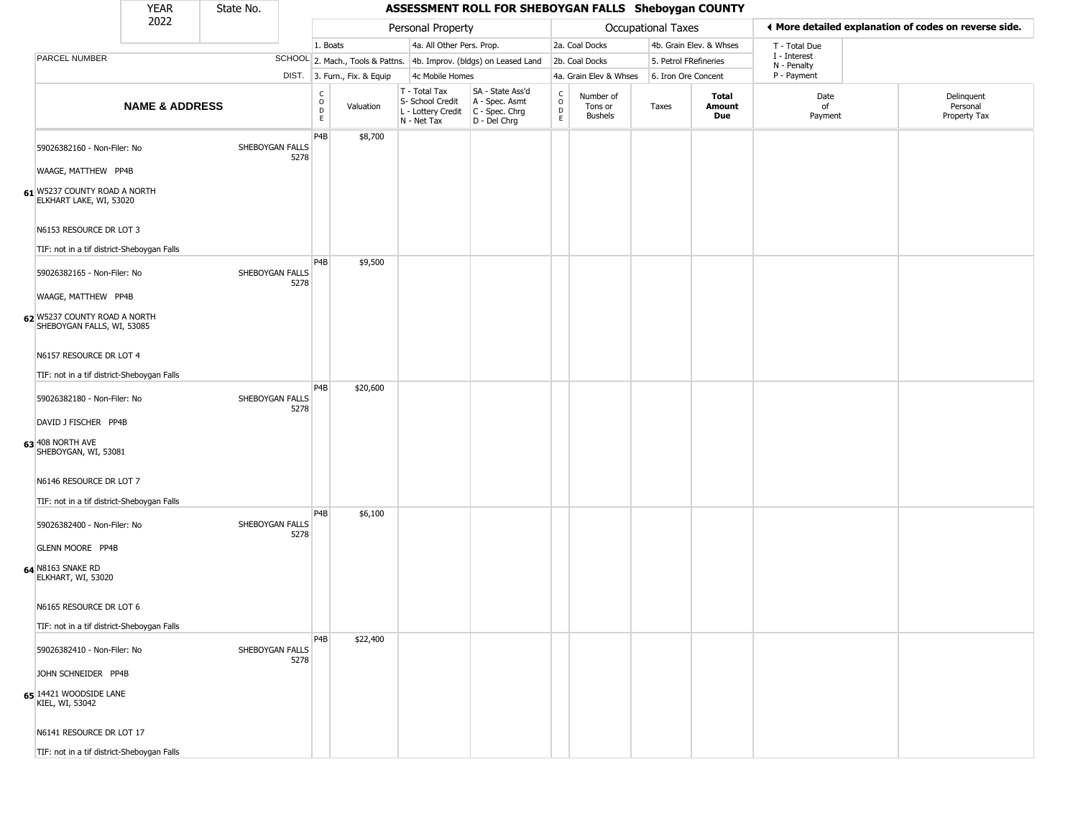| <b>YEAR</b> | State No. |                   | ASSESSMENT ROLL FOR SHEBOYGAN FALLS Sheboygan COUNTY |
|-------------|-----------|-------------------|------------------------------------------------------|
| 2022        |           | Personal Property | <b>Occupational Taxes</b>                            |

|                                                                                                                                                                                                                       | 2022                      |                                                    |                         |                              | Personal Property                                                      |                                                                      |                                |                                 | Occupational Taxes    |                         |                             | ◀ More detailed explanation of codes on reverse side. |
|-----------------------------------------------------------------------------------------------------------------------------------------------------------------------------------------------------------------------|---------------------------|----------------------------------------------------|-------------------------|------------------------------|------------------------------------------------------------------------|----------------------------------------------------------------------|--------------------------------|---------------------------------|-----------------------|-------------------------|-----------------------------|-------------------------------------------------------|
|                                                                                                                                                                                                                       |                           |                                                    | 1. Boats                |                              | 4a. All Other Pers. Prop.                                              |                                                                      |                                | 2a. Coal Docks                  |                       | 4b. Grain Elev. & Whses | T - Total Due               |                                                       |
| PARCEL NUMBER                                                                                                                                                                                                         |                           |                                                    |                         |                              |                                                                        | SCHOOL 2. Mach., Tools & Pattns. 4b. Improv. (bldgs) on Leased Land  |                                | 2b. Coal Docks                  | 5. Petrol FRefineries |                         | I - Interest<br>N - Penalty |                                                       |
|                                                                                                                                                                                                                       |                           |                                                    |                         | DIST. 3. Furn., Fix. & Equip | 4c Mobile Homes                                                        |                                                                      |                                | 4a. Grain Elev & Whses          | 6. Iron Ore Concent   |                         | P - Payment                 |                                                       |
|                                                                                                                                                                                                                       | <b>NAME &amp; ADDRESS</b> |                                                    | C<br>$\circ$<br>D<br>E  | Valuation                    | T - Total Tax<br>S- School Credit<br>L - Lottery Credit<br>N - Net Tax | SA - State Ass'd<br>A - Spec. Asmt<br>C - Spec. Chrg<br>D - Del Chrg | $\rm _o^c$<br>$\mathsf D$<br>E | Number of<br>Tons or<br>Bushels | Taxes                 | Total<br>Amount<br>Due  | Date<br>of<br>Payment       | Delinquent<br>Personal<br>Property Tax                |
| 59026382160 - Non-Filer: No<br>WAAGE, MATTHEW PP4B<br>61 W5237 COUNTY ROAD A NORTH<br>ELKHART LAKE, WI, 53020<br>N6153 RESOURCE DR LOT 3<br>TIF: not in a tif district-Sheboygan Falls<br>59026382165 - Non-Filer: No |                           | SHEBOYGAN FALLS<br>5278<br>SHEBOYGAN FALLS<br>5278 | P4B<br>P <sub>4</sub> B | \$8,700<br>\$9,500           |                                                                        |                                                                      |                                |                                 |                       |                         |                             |                                                       |
| WAAGE, MATTHEW PP4B<br>62 W5237 COUNTY ROAD A NORTH<br>SHEBOYGAN FALLS, WI, 53085<br>N6157 RESOURCE DR LOT 4<br>TIF: not in a tif district-Sheboygan Falls                                                            |                           |                                                    |                         |                              |                                                                        |                                                                      |                                |                                 |                       |                         |                             |                                                       |
| 59026382180 - Non-Filer: No<br>DAVID J FISCHER PP4B<br>63 408 NORTH AVE<br>SHEBOYGAN, WI, 53081<br>N6146 RESOURCE DR LOT 7<br>TIF: not in a tif district-Sheboygan Falls                                              |                           | SHEBOYGAN FALLS<br>5278                            | P4B                     | \$20,600                     |                                                                        |                                                                      |                                |                                 |                       |                         |                             |                                                       |
| 59026382400 - Non-Filer: No<br><b>GLENN MOORE PP4B</b><br>64 N8163 SNAKE RD<br>ELKHART, WI, 53020<br>N6165 RESOURCE DR LOT 6<br>TIF: not in a tif district-Sheboygan Falls                                            |                           | SHEBOYGAN FALLS<br>5278                            | P4B                     | \$6,100                      |                                                                        |                                                                      |                                |                                 |                       |                         |                             |                                                       |
| 59026382410 - Non-Filer: No<br>JOHN SCHNEIDER PP4B<br>65 14421 WOODSIDE LANE<br>KIEL, WI, 53042<br>N6141 RESOURCE DR LOT 17<br>TIF: not in a tif district-Sheboygan Falls                                             |                           | SHEBOYGAN FALLS<br>5278                            | P4B                     | \$22,400                     |                                                                        |                                                                      |                                |                                 |                       |                         |                             |                                                       |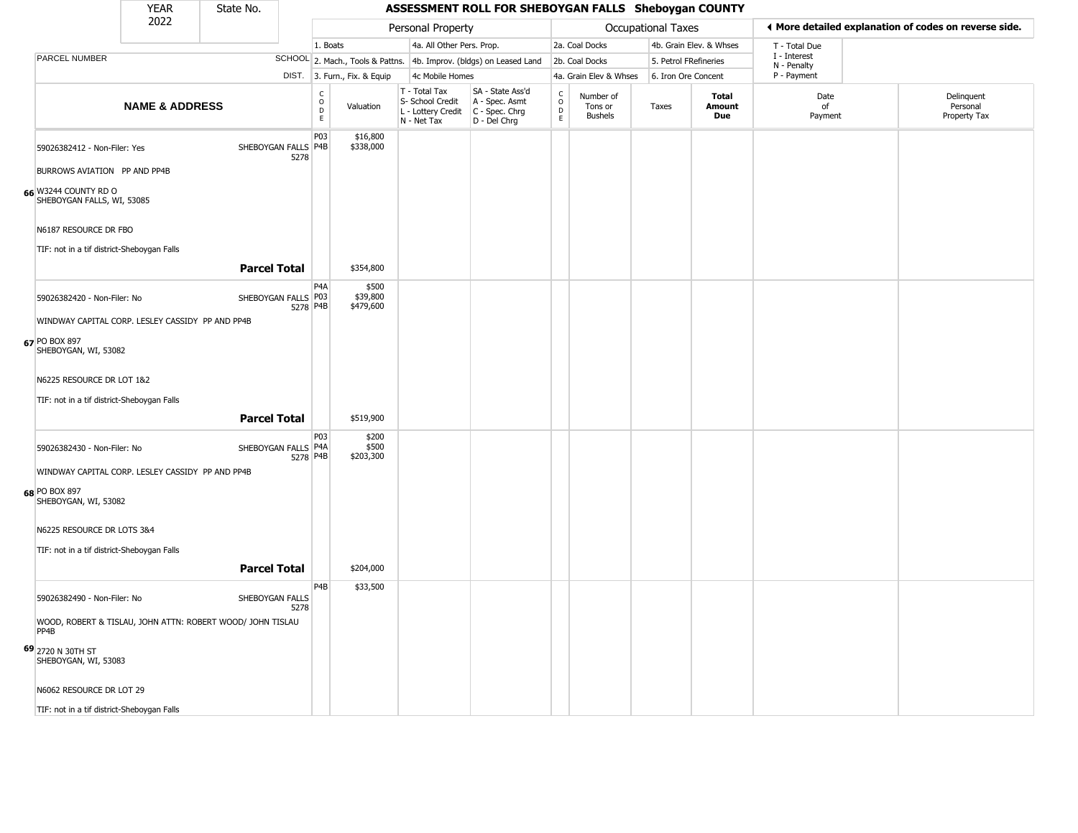#### YEAR **ASSESSMENT ROLL FOR SHEBOYGAN FALLS Sheboygan COUNTY** 2022 DIST. 3. Furn., Fix. & Equip PARCEL NUMBER **NAME & ADDRESS** State No. C O D E Valuation T - Total Tax S- School Credit A - Spec. Asmt L - Lottery Credit C - Spec. Chrg N - Net Tax SA - State Ass'd D - Del Chrg C O D E Number of Tons or Bushels Taxes **Total Amount Due** Date of Payment Delinquent Personal Property Tax Personal Property **Personal Property Personal Taxes** 1. Boats **4a. All Other Pers. Prop.** 2a. Coal Docks 4b. Grain Elev. & Whses SCHOOL 2. Mach., Tools & Pattns. 4b. Improv. (bldgs) on Leased Land 2b. Coal Docks 5. Petrol FRefineries 4c Mobile Homes 4a. Grain Elev & Whses 6. Iron Ore Concent T - Total Due I - Interest N - Penalty P - Payment 3**More detailed explanation of codes on reverse side. 66** W3244 COUNTY RD O 59026382412 - Non-Filer: Yes 5278 BURROWS AVIATION PP AND PP4B SHEBOYGAN FALLS, WI, 53085 N6187 RESOURCE DR FBO TIF: not in a tif district-Sheboygan Falls P03 SHEBOYGAN FALLS P4B \$16,800 \$338,000 **Parcel Total** | \$354,800 **67** PO BOX 897 59026382420 - Non-Filer: No 5278 P4B WINDWAY CAPITAL CORP. LESLEY CASSIDY PP AND PP4B SHEBOYGAN, WI, 53082 N6225 RESOURCE DR LOT 1&2 TIF: not in a tif district-Sheboygan Falls P4A SHEBOYGAN FALLS P03 \$500 \$39,800 \$479,600 **Parcel Total | \$519,900 68** PO BOX 897 59026382430 - Non-Filer: No 5278 P4B WINDWAY CAPITAL CORP. LESLEY CASSIDY PP AND PP4B SHEBOYGAN, WI, 53082 N6225 RESOURCE DR LOTS 3&4 TIF: not in a tif district-Sheboygan Falls P03 SHEBOYGAN FALLS P4A \$200 \$500 \$203,300 **Parcel Total 1 \$204,000 69** 2720 N 30TH ST 59026382490 - Non-Filer: No SHEBOYGAN FALLS 5278 WOOD, ROBERT & TISLAU, JOHN ATTN: ROBERT WOOD/ JOHN TISLAU PP4B SHEBOYGAN, WI, 53083 N6062 RESOURCE DR LOT 29 P4B \$33,500

TIF: not in a tif district-Sheboygan Falls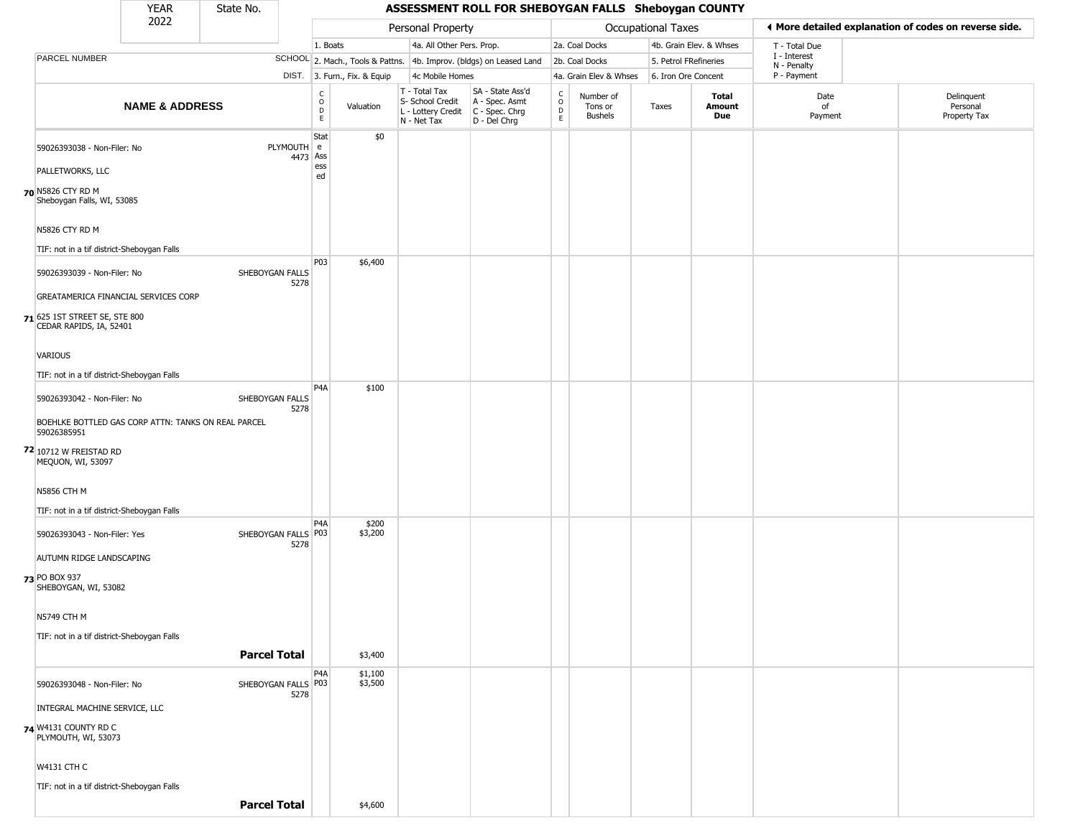| YEAR | State No. |  |
|------|-----------|--|
| רמפ  |           |  |

|                                                                     | 2022                      |                             | Personal Property       |                              |                                                                                              |                                                                      |                                            | ♦ More detailed explanation of codes on reverse side. |                       |                        |                            |                                        |
|---------------------------------------------------------------------|---------------------------|-----------------------------|-------------------------|------------------------------|----------------------------------------------------------------------------------------------|----------------------------------------------------------------------|--------------------------------------------|-------------------------------------------------------|-----------------------|------------------------|----------------------------|----------------------------------------|
|                                                                     |                           |                             | 1. Boats                |                              | Occupational Taxes<br>4a. All Other Pers. Prop.<br>2a. Coal Docks<br>4b. Grain Elev. & Whses |                                                                      | T - Total Due                              |                                                       |                       |                        |                            |                                        |
| PARCEL NUMBER                                                       |                           |                             |                         |                              |                                                                                              | SCHOOL 2. Mach., Tools & Pattns. 4b. Improv. (bldgs) on Leased Land  |                                            | 2b. Coal Docks                                        | 5. Petrol FRefineries |                        | I - Interest               |                                        |
|                                                                     |                           |                             |                         | DIST. 3. Furn., Fix. & Equip | 4c Mobile Homes                                                                              |                                                                      |                                            | 4a. Grain Elev & Whses                                | 6. Iron Ore Concent   |                        | N - Penalty<br>P - Payment |                                        |
|                                                                     | <b>NAME &amp; ADDRESS</b> |                             | C<br>$\circ$<br>D<br>E. | Valuation                    | T - Total Tax<br>S- School Credit<br>L - Lottery Credit<br>N - Net Tax                       | SA - State Ass'd<br>A - Spec. Asmt<br>C - Spec. Chrg<br>D - Del Chrg | $\begin{array}{c} C \\ O \\ E \end{array}$ | Number of<br>Tons or<br><b>Bushels</b>                | Taxes                 | Total<br>Amount<br>Due | Date<br>of<br>Payment      | Delinquent<br>Personal<br>Property Tax |
| 59026393038 - Non-Filer: No                                         |                           | PLYMOUTH e                  | Stat<br>4473 Ass        | \$0                          |                                                                                              |                                                                      |                                            |                                                       |                       |                        |                            |                                        |
| PALLETWORKS, LLC                                                    |                           |                             | ess<br>ed               |                              |                                                                                              |                                                                      |                                            |                                                       |                       |                        |                            |                                        |
| 70 N5826 CTY RD M<br>Sheboygan Falls, WI, 53085                     |                           |                             |                         |                              |                                                                                              |                                                                      |                                            |                                                       |                       |                        |                            |                                        |
| N5826 CTY RD M                                                      |                           |                             |                         |                              |                                                                                              |                                                                      |                                            |                                                       |                       |                        |                            |                                        |
| TIF: not in a tif district-Sheboygan Falls                          |                           |                             | P03                     | \$6,400                      |                                                                                              |                                                                      |                                            |                                                       |                       |                        |                            |                                        |
| 59026393039 - Non-Filer: No<br>GREATAMERICA FINANCIAL SERVICES CORP |                           | SHEBOYGAN FALLS<br>5278     |                         |                              |                                                                                              |                                                                      |                                            |                                                       |                       |                        |                            |                                        |
| 71 625 1ST STREET SE, STE 800<br>CEDAR RAPIDS, IA, 52401            |                           |                             |                         |                              |                                                                                              |                                                                      |                                            |                                                       |                       |                        |                            |                                        |
| VARIOUS                                                             |                           |                             |                         |                              |                                                                                              |                                                                      |                                            |                                                       |                       |                        |                            |                                        |
| TIF: not in a tif district-Sheboygan Falls                          |                           |                             | P <sub>4</sub> A        |                              |                                                                                              |                                                                      |                                            |                                                       |                       |                        |                            |                                        |
| 59026393042 - Non-Filer: No                                         |                           | SHEBOYGAN FALLS<br>5278     |                         | \$100                        |                                                                                              |                                                                      |                                            |                                                       |                       |                        |                            |                                        |
| BOEHLKE BOTTLED GAS CORP ATTN: TANKS ON REAL PARCEL<br>59026385951  |                           |                             |                         |                              |                                                                                              |                                                                      |                                            |                                                       |                       |                        |                            |                                        |
| 72 10712 W FREISTAD RD<br>MEQUON, WI, 53097                         |                           |                             |                         |                              |                                                                                              |                                                                      |                                            |                                                       |                       |                        |                            |                                        |
| <b>N5856 CTH M</b>                                                  |                           |                             |                         |                              |                                                                                              |                                                                      |                                            |                                                       |                       |                        |                            |                                        |
| TIF: not in a tif district-Sheboygan Falls                          |                           |                             |                         |                              |                                                                                              |                                                                      |                                            |                                                       |                       |                        |                            |                                        |
| 59026393043 - Non-Filer: Yes                                        |                           | SHEBOYGAN FALLS P03<br>5278 | P4A                     | \$200<br>\$3,200             |                                                                                              |                                                                      |                                            |                                                       |                       |                        |                            |                                        |
| AUTUMN RIDGE LANDSCAPING                                            |                           |                             |                         |                              |                                                                                              |                                                                      |                                            |                                                       |                       |                        |                            |                                        |
| 73 PO BOX 937<br>SHEBOYGAN, WI, 53082                               |                           |                             |                         |                              |                                                                                              |                                                                      |                                            |                                                       |                       |                        |                            |                                        |
| <b>N5749 CTH M</b>                                                  |                           |                             |                         |                              |                                                                                              |                                                                      |                                            |                                                       |                       |                        |                            |                                        |
| TIF: not in a tif district-Sheboygan Falls                          |                           |                             |                         |                              |                                                                                              |                                                                      |                                            |                                                       |                       |                        |                            |                                        |
|                                                                     |                           | <b>Parcel Total</b>         |                         | \$3,400                      |                                                                                              |                                                                      |                                            |                                                       |                       |                        |                            |                                        |
| 59026393048 - Non-Filer: No                                         |                           | SHEBOYGAN FALLS P03<br>5278 | P4A                     | \$1,100<br>\$3,500           |                                                                                              |                                                                      |                                            |                                                       |                       |                        |                            |                                        |
| INTEGRAL MACHINE SERVICE, LLC                                       |                           |                             |                         |                              |                                                                                              |                                                                      |                                            |                                                       |                       |                        |                            |                                        |
| 74 W4131 COUNTY RD C<br>PLYMOUTH, WI, 53073                         |                           |                             |                         |                              |                                                                                              |                                                                      |                                            |                                                       |                       |                        |                            |                                        |
| <b>W4131 CTH C</b>                                                  |                           |                             |                         |                              |                                                                                              |                                                                      |                                            |                                                       |                       |                        |                            |                                        |
| TIF: not in a tif district-Sheboygan Falls                          |                           |                             |                         |                              |                                                                                              |                                                                      |                                            |                                                       |                       |                        |                            |                                        |
|                                                                     |                           | <b>Parcel Total</b>         |                         | \$4,600                      |                                                                                              |                                                                      |                                            |                                                       |                       |                        |                            |                                        |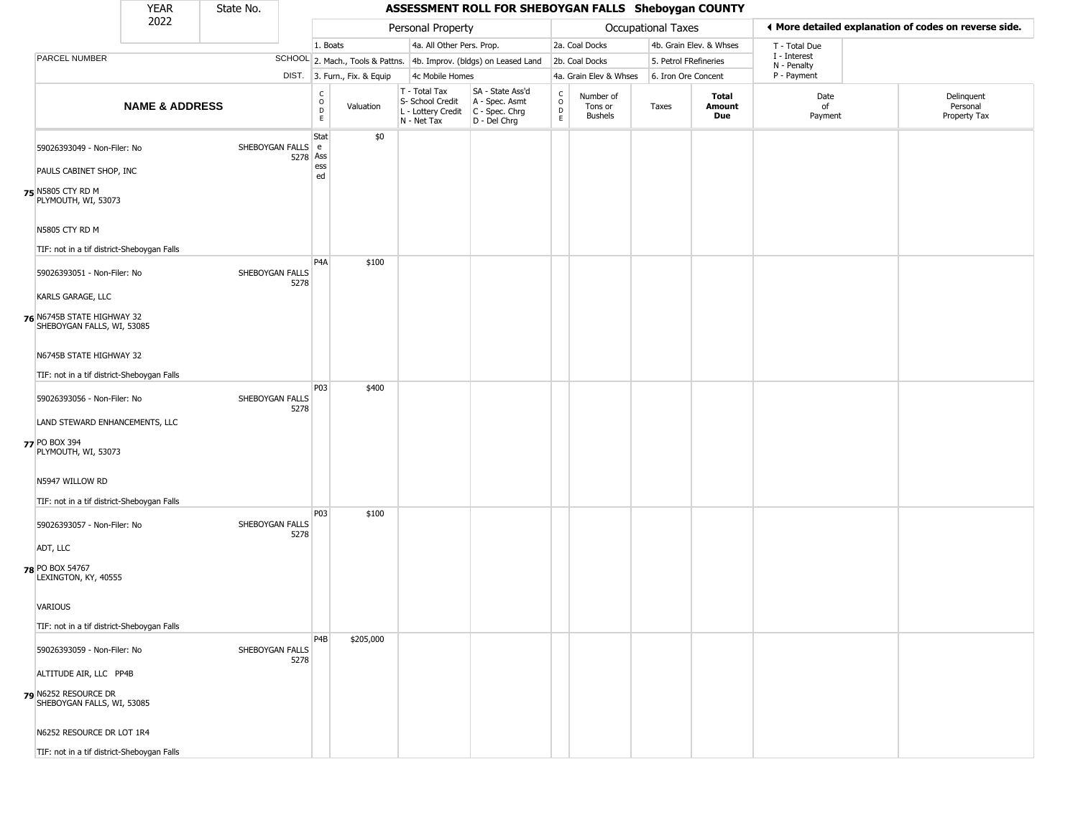# State No.

|                                                              | 2022                      |                               | Personal Property      |                              | Occupational Taxes                                                     |                                                                      |                                                          | ◀ More detailed explanation of codes on reverse side. |                       |                               |                             |                                        |
|--------------------------------------------------------------|---------------------------|-------------------------------|------------------------|------------------------------|------------------------------------------------------------------------|----------------------------------------------------------------------|----------------------------------------------------------|-------------------------------------------------------|-----------------------|-------------------------------|-----------------------------|----------------------------------------|
|                                                              |                           |                               | 1. Boats               |                              | 4a. All Other Pers. Prop.                                              |                                                                      |                                                          | 2a. Coal Docks                                        |                       | 4b. Grain Elev. & Whses       | T - Total Due               |                                        |
| PARCEL NUMBER                                                |                           |                               |                        |                              |                                                                        | SCHOOL 2. Mach., Tools & Pattns. 4b. Improv. (bldgs) on Leased Land  |                                                          | 2b. Coal Docks                                        | 5. Petrol FRefineries |                               | I - Interest<br>N - Penalty |                                        |
|                                                              |                           |                               |                        | DIST. 3. Furn., Fix. & Equip |                                                                        | 4c Mobile Homes                                                      |                                                          | 4a. Grain Elev & Whses                                |                       | 6. Iron Ore Concent           | P - Payment                 |                                        |
|                                                              | <b>NAME &amp; ADDRESS</b> |                               | C<br>$\circ$<br>D<br>E | Valuation                    | T - Total Tax<br>S- School Credit<br>L - Lottery Credit<br>N - Net Tax | SA - State Ass'd<br>A - Spec. Asmt<br>C - Spec. Chrg<br>D - Del Chrg | $\begin{smallmatrix} C \\ 0 \\ D \end{smallmatrix}$<br>E | Number of<br>Tons or<br><b>Bushels</b>                | Taxes                 | <b>Total</b><br>Amount<br>Due | Date<br>of<br>Payment       | Delinquent<br>Personal<br>Property Tax |
| 59026393049 - Non-Filer: No                                  |                           | SHEBOYGAN FALLS e<br>5278 Ass | Stat<br>ess            | \$0                          |                                                                        |                                                                      |                                                          |                                                       |                       |                               |                             |                                        |
| PAULS CABINET SHOP, INC                                      |                           |                               | ed                     |                              |                                                                        |                                                                      |                                                          |                                                       |                       |                               |                             |                                        |
| 75 N5805 CTY RD M<br>PLYMOUTH, WI, 53073                     |                           |                               |                        |                              |                                                                        |                                                                      |                                                          |                                                       |                       |                               |                             |                                        |
| N5805 CTY RD M<br>TIF: not in a tif district-Sheboygan Falls |                           |                               |                        |                              |                                                                        |                                                                      |                                                          |                                                       |                       |                               |                             |                                        |
|                                                              |                           |                               | P <sub>4</sub> A       | \$100                        |                                                                        |                                                                      |                                                          |                                                       |                       |                               |                             |                                        |
| 59026393051 - Non-Filer: No                                  |                           | SHEBOYGAN FALLS<br>5278       |                        |                              |                                                                        |                                                                      |                                                          |                                                       |                       |                               |                             |                                        |
| KARLS GARAGE, LLC                                            |                           |                               |                        |                              |                                                                        |                                                                      |                                                          |                                                       |                       |                               |                             |                                        |
| 76 N6745B STATE HIGHWAY 32<br>SHEBOYGAN FALLS, WI, 53085     |                           |                               |                        |                              |                                                                        |                                                                      |                                                          |                                                       |                       |                               |                             |                                        |
| N6745B STATE HIGHWAY 32                                      |                           |                               |                        |                              |                                                                        |                                                                      |                                                          |                                                       |                       |                               |                             |                                        |
| TIF: not in a tif district-Sheboygan Falls                   |                           |                               |                        |                              |                                                                        |                                                                      |                                                          |                                                       |                       |                               |                             |                                        |
| 59026393056 - Non-Filer: No                                  |                           | SHEBOYGAN FALLS<br>5278       | P03                    | \$400                        |                                                                        |                                                                      |                                                          |                                                       |                       |                               |                             |                                        |
| LAND STEWARD ENHANCEMENTS, LLC                               |                           |                               |                        |                              |                                                                        |                                                                      |                                                          |                                                       |                       |                               |                             |                                        |
| 77 PO BOX 394<br>PLYMOUTH, WI, 53073                         |                           |                               |                        |                              |                                                                        |                                                                      |                                                          |                                                       |                       |                               |                             |                                        |
| N5947 WILLOW RD                                              |                           |                               |                        |                              |                                                                        |                                                                      |                                                          |                                                       |                       |                               |                             |                                        |
| TIF: not in a tif district-Sheboygan Falls                   |                           |                               |                        |                              |                                                                        |                                                                      |                                                          |                                                       |                       |                               |                             |                                        |
| 59026393057 - Non-Filer: No                                  |                           | SHEBOYGAN FALLS<br>5278       | P03                    | \$100                        |                                                                        |                                                                      |                                                          |                                                       |                       |                               |                             |                                        |
| ADT, LLC                                                     |                           |                               |                        |                              |                                                                        |                                                                      |                                                          |                                                       |                       |                               |                             |                                        |
| 78 PO BOX 54767<br>LEXINGTON, KY, 40555                      |                           |                               |                        |                              |                                                                        |                                                                      |                                                          |                                                       |                       |                               |                             |                                        |
| <b>VARIOUS</b>                                               |                           |                               |                        |                              |                                                                        |                                                                      |                                                          |                                                       |                       |                               |                             |                                        |
| TIF: not in a tif district-Sheboygan Falls                   |                           |                               |                        |                              |                                                                        |                                                                      |                                                          |                                                       |                       |                               |                             |                                        |
| 59026393059 - Non-Filer: No                                  |                           | SHEBOYGAN FALLS<br>5278       | P4B                    | \$205,000                    |                                                                        |                                                                      |                                                          |                                                       |                       |                               |                             |                                        |
| ALTITUDE AIR, LLC PP4B                                       |                           |                               |                        |                              |                                                                        |                                                                      |                                                          |                                                       |                       |                               |                             |                                        |
| 79 N6252 RESOURCE DR<br>SHEBOYGAN FALLS, WI, 53085           |                           |                               |                        |                              |                                                                        |                                                                      |                                                          |                                                       |                       |                               |                             |                                        |
| N6252 RESOURCE DR LOT 1R4                                    |                           |                               |                        |                              |                                                                        |                                                                      |                                                          |                                                       |                       |                               |                             |                                        |
| TIF: not in a tif district-Sheboygan Falls                   |                           |                               |                        |                              |                                                                        |                                                                      |                                                          |                                                       |                       |                               |                             |                                        |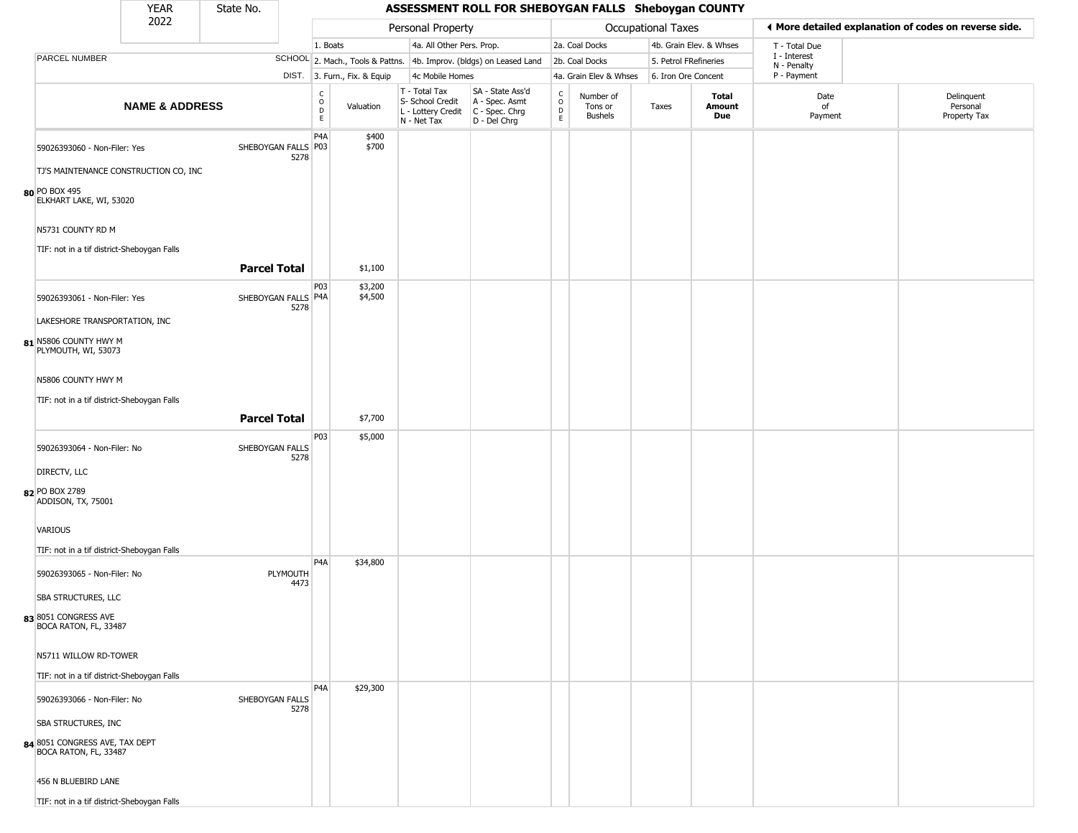| YFAR | State No. |
|------|-----------|
| ררחר |           |

|                                                                                    | 2022                                  |                             |                                                                     |                                                 | Personal Property                                                      |                                                                      |                                |                                        | <b>Occupational Taxes</b> |                         |                            | ♦ More detailed explanation of codes on reverse side. |
|------------------------------------------------------------------------------------|---------------------------------------|-----------------------------|---------------------------------------------------------------------|-------------------------------------------------|------------------------------------------------------------------------|----------------------------------------------------------------------|--------------------------------|----------------------------------------|---------------------------|-------------------------|----------------------------|-------------------------------------------------------|
|                                                                                    |                                       |                             | 1. Boats                                                            |                                                 | 4a. All Other Pers. Prop.                                              |                                                                      |                                | 2a. Coal Docks                         |                           | 4b. Grain Elev. & Whses | T - Total Due              |                                                       |
| PARCEL NUMBER                                                                      |                                       |                             | SCHOOL 2. Mach., Tools & Pattns. 4b. Improv. (bldgs) on Leased Land |                                                 |                                                                        |                                                                      |                                | 2b. Coal Docks                         | 5. Petrol FRefineries     |                         | I - Interest               |                                                       |
|                                                                                    |                                       |                             |                                                                     | DIST. 3. Furn., Fix. & Equip<br>4c Mobile Homes |                                                                        |                                                                      |                                | 4a. Grain Elev & Whses                 | 6. Iron Ore Concent       |                         | N - Penalty<br>P - Payment |                                                       |
|                                                                                    | <b>NAME &amp; ADDRESS</b>             |                             | $\begin{matrix} 0 \\ 0 \\ D \end{matrix}$<br>$\mathsf E$            | Valuation                                       | T - Total Tax<br>S- School Credit<br>L - Lottery Credit<br>N - Net Tax | SA - State Ass'd<br>A - Spec. Asmt<br>C - Spec. Chrg<br>D - Del Chrg | $\rm _o^C$<br>D<br>$\mathsf E$ | Number of<br>Tons or<br><b>Bushels</b> | Taxes                     | Total<br>Amount<br>Due  | Date<br>of<br>Payment      | Delinquent<br>Personal<br>Property Tax                |
| 59026393060 - Non-Filer: Yes                                                       |                                       | SHEBOYGAN FALLS P03<br>5278 | P4A                                                                 | \$400<br>\$700                                  |                                                                        |                                                                      |                                |                                        |                           |                         |                            |                                                       |
|                                                                                    | TJ'S MAINTENANCE CONSTRUCTION CO, INC |                             |                                                                     |                                                 |                                                                        |                                                                      |                                |                                        |                           |                         |                            |                                                       |
| 80 PO BOX 495<br>ELKHART LAKE, WI, 53020                                           |                                       |                             |                                                                     |                                                 |                                                                        |                                                                      |                                |                                        |                           |                         |                            |                                                       |
| N5731 COUNTY RD M                                                                  |                                       |                             |                                                                     |                                                 |                                                                        |                                                                      |                                |                                        |                           |                         |                            |                                                       |
| TIF: not in a tif district-Sheboygan Falls                                         |                                       | <b>Parcel Total</b>         |                                                                     | \$1,100                                         |                                                                        |                                                                      |                                |                                        |                           |                         |                            |                                                       |
| 59026393061 - Non-Filer: Yes                                                       |                                       | SHEBOYGAN FALLS P4A         | P03                                                                 | \$3,200<br>\$4,500                              |                                                                        |                                                                      |                                |                                        |                           |                         |                            |                                                       |
| LAKESHORE TRANSPORTATION, INC                                                      |                                       | 5278                        |                                                                     |                                                 |                                                                        |                                                                      |                                |                                        |                           |                         |                            |                                                       |
| 81 N5806 COUNTY HWY M<br>PLYMOUTH, WI, 53073                                       |                                       |                             |                                                                     |                                                 |                                                                        |                                                                      |                                |                                        |                           |                         |                            |                                                       |
| N5806 COUNTY HWY M                                                                 |                                       |                             |                                                                     |                                                 |                                                                        |                                                                      |                                |                                        |                           |                         |                            |                                                       |
| TIF: not in a tif district-Sheboygan Falls                                         |                                       |                             |                                                                     |                                                 |                                                                        |                                                                      |                                |                                        |                           |                         |                            |                                                       |
|                                                                                    |                                       | <b>Parcel Total</b>         | P03                                                                 | \$7,700<br>\$5,000                              |                                                                        |                                                                      |                                |                                        |                           |                         |                            |                                                       |
| 59026393064 - Non-Filer: No                                                        |                                       | SHEBOYGAN FALLS<br>5278     |                                                                     |                                                 |                                                                        |                                                                      |                                |                                        |                           |                         |                            |                                                       |
| DIRECTV, LLC<br>82 PO BOX 2789<br>ADDISON, TX, 75001                               |                                       |                             |                                                                     |                                                 |                                                                        |                                                                      |                                |                                        |                           |                         |                            |                                                       |
| VARIOUS                                                                            |                                       |                             |                                                                     |                                                 |                                                                        |                                                                      |                                |                                        |                           |                         |                            |                                                       |
| TIF: not in a tif district-Sheboygan Falls                                         |                                       |                             | P <sub>4</sub> A                                                    | \$34,800                                        |                                                                        |                                                                      |                                |                                        |                           |                         |                            |                                                       |
| 59026393065 - Non-Filer: No                                                        |                                       | PLYMOUTH<br>4473            |                                                                     |                                                 |                                                                        |                                                                      |                                |                                        |                           |                         |                            |                                                       |
| <b>SBA STRUCTURES, LLC</b>                                                         |                                       |                             |                                                                     |                                                 |                                                                        |                                                                      |                                |                                        |                           |                         |                            |                                                       |
| 838051 CONGRESS AVE<br>BOCA RATON, FL, 33487                                       |                                       |                             |                                                                     |                                                 |                                                                        |                                                                      |                                |                                        |                           |                         |                            |                                                       |
| N5711 WILLOW RD-TOWER                                                              |                                       |                             |                                                                     |                                                 |                                                                        |                                                                      |                                |                                        |                           |                         |                            |                                                       |
| TIF: not in a tif district-Sheboygan Falls                                         |                                       |                             |                                                                     |                                                 |                                                                        |                                                                      |                                |                                        |                           |                         |                            |                                                       |
| 59026393066 - Non-Filer: No                                                        |                                       | SHEBOYGAN FALLS<br>5278     | P <sub>4</sub> A                                                    | \$29,300                                        |                                                                        |                                                                      |                                |                                        |                           |                         |                            |                                                       |
| <b>SBA STRUCTURES, INC</b><br>84 8051 CONGRESS AVE, TAX DEPT BOCA RATON, FL, 33487 |                                       |                             |                                                                     |                                                 |                                                                        |                                                                      |                                |                                        |                           |                         |                            |                                                       |
| 456 N BLUEBIRD LANE                                                                |                                       |                             |                                                                     |                                                 |                                                                        |                                                                      |                                |                                        |                           |                         |                            |                                                       |
| TIF: not in a tif district-Sheboygan Falls                                         |                                       |                             |                                                                     |                                                 |                                                                        |                                                                      |                                |                                        |                           |                         |                            |                                                       |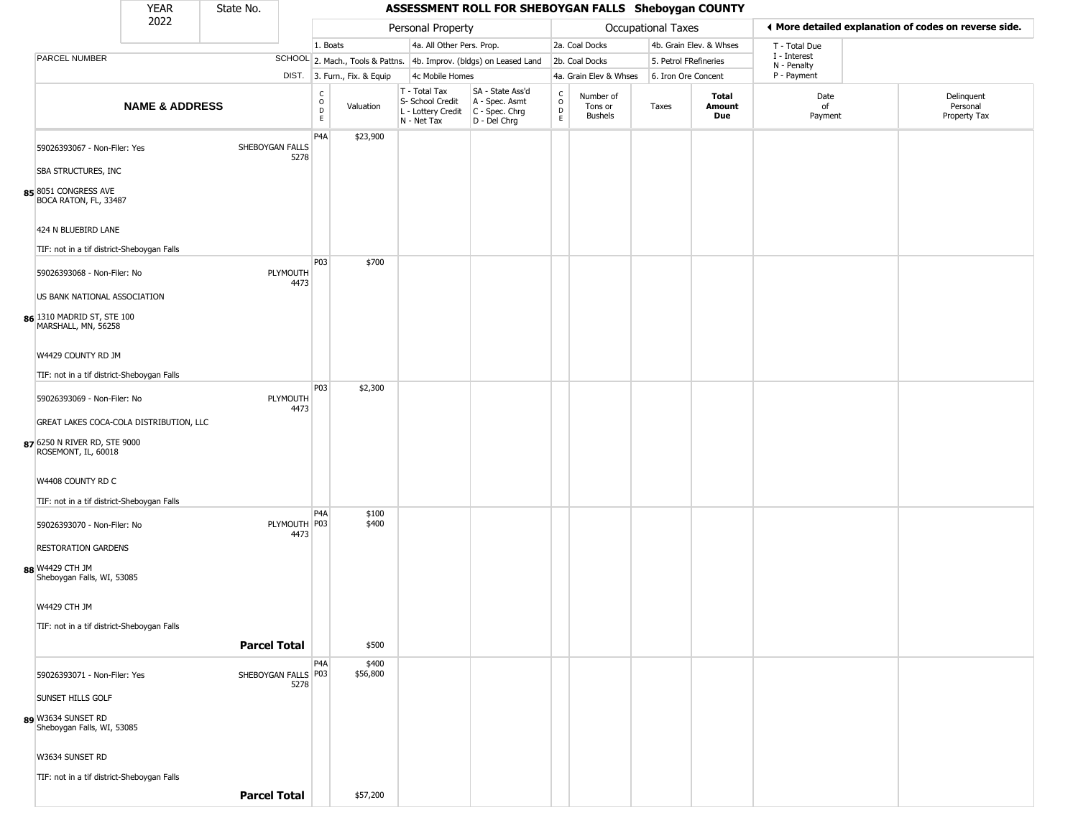#### YEAR **A State No. 45SESSMENT ROLL FOR SHEBOYGAN FALLS Sheboygan COUNTY** 2022 DIST. 3. Furn., Fix. & Equip PARCEL NUMBER **NAME & ADDRESS** State No. C O D E Valuation T - Total Tax S- School Credit A - Spec. Asmt L - Lottery Credit C - Spec. Chrg N - Net Tax SA - State Ass'd D - Del Chrg C O D E Number of Tons or Bushels Taxes **Total Amount Due** Date of Payment Delinquent Personal Property Tax Personal Property **Personal Property Personal Taxes** 1. Boats **4a. All Other Pers. Prop.** 2a. Coal Docks 4b. Grain Elev. & Whses SCHOOL 2. Mach., Tools & Pattns. 4b. Improv. (bldgs) on Leased Land 2b. Coal Docks 5. Petrol FRefineries 4c Mobile Homes 4a. Grain Elev & Whses 6. Iron Ore Concent T - Total Due I - Interest N - Penalty P - Payment 3**More detailed explanation of codes on reverse side. 85** 8051 CONGRESS AVE 59026393067 - Non-Filer: Yes SHEBOYGAN FALLS 5278 SBA STRUCTURES, INC BOCA RATON, FL, 33487 424 N BLUEBIRD LANE TIF: not in a tif district-Sheboygan Falls P4A \$23,900 **86** 1310 MADRID ST, STE 100 59026393068 - Non-Filer: No PLYMOUTH 4473 US BANK NATIONAL ASSOCIATION MARSHALL, MN, 56258 W4429 COUNTY RD JM TIF: not in a tif district-Sheboygan Falls P03 \$700 **87** 6250 N RIVER RD, STE 9000 59026393069 - Non-Filer: No PLYMOUTH 4473 GREAT LAKES COCA-COLA DISTRIBUTION, LLC ROSEMONT, IL, 60018 W4408 COUNTY RD C TIF: not in a tif district-Sheboygan Falls P03 \$2,300 **88** W4429 CTH JM 59026393070 - Non-Filer: No 4473 RESTORATION GARDENS Sheboygan Falls, WI, 53085 W4429 CTH JM TIF: not in a tif district-Sheboygan Falls P4A PLYMOUTH P03 \$100 \$400 **Parcel Total** | \$500 **89** W3634 SUNSET RD 59026393071 - Non-Filer: Yes 5278 SUNSET HILLS GOLF Sheboygan Falls, WI, 53085 P4A SHEBOYGAN FALLS | P03 \$400 \$56,800

W3634 SUNSET RD

TIF: not in a tif district-Sheboygan Falls

**Parcel Total** | \$57,200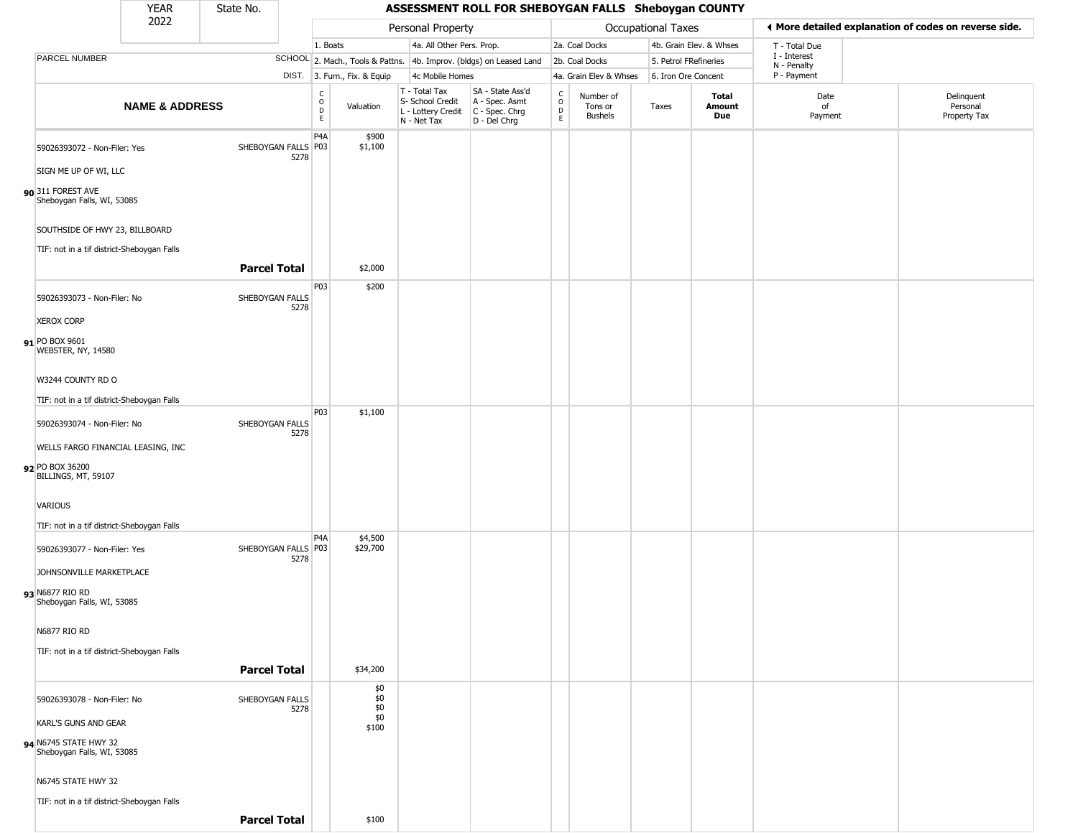#### YEAR **A State No. 45SESSMENT ROLL FOR SHEBOYGAN FALLS Sheboygan COUNTY** 2022 DIST. 3. Furn., Fix. & Equip PARCEL NUMBER **NAME & ADDRESS** State No. C O D E Valuation T - Total Tax S- School Credit A - Spec. Asmt L - Lottery Credit C - Spec. Chrg N - Net Tax SA - State Ass'd D - Del Chrg C O D E Number of Tons or Bushels Taxes **Total Amount Due** Date of Payment Delinquent Personal Property Tax Personal Property **Department Controller Service Controller** Occupational Taxes 1. Boats **4a. All Other Pers. Prop.** 2a. Coal Docks 4b. Grain Elev. & Whses SCHOOL 2. Mach., Tools & Pattns. 4b. Improv. (bldgs) on Leased Land 2b. Coal Docks 5. Petrol FRefineries 4c Mobile Homes 4a. Grain Elev & Whses 6. Iron Ore Concent T - Total Due I - Interest N - Penalty P - Payment 3**More detailed explanation of codes on reverse side. 90** 311 FOREST AVE 59026393072 - Non-Filer: Yes 5278 SIGN ME UP OF WI, LLC Sheboygan Falls, WI, 53085 SOUTHSIDE OF HWY 23, BILLBOARD TIF: not in a tif district-Sheboygan Falls P4A SHEBOYGAN FALLS P03 \$900 \$1,100 **Parcel Total** | \$2,000 **91** PO BOX 9601 59026393073 - Non-Filer: No SHEBOYGAN FALLS 5278 XEROX CORP WEBSTER, NY, 14580 W3244 COUNTY RD O TIF: not in a tif district-Sheboygan Falls P03 \$200 **92** PO BOX 36200 59026393074 - Non-Filer: No SHEBOYGAN FALLS 5278 WELLS FARGO FINANCIAL LEASING, INC BILLINGS, MT, 59107 VARIOUS TIF: not in a tif district-Sheboygan Falls P03 \$1,100 **93** N6877 RIO RD 59026393077 - Non-Filer: Yes 5278 JOHNSONVILLE MARKETPLACE Sheboygan Falls, WI, 53085 N6877 RIO RD TIF: not in a tif district-Sheboygan Falls  $PA<sub>A</sub>$ SHEBOYGAN FALLS P03 \$4,500 \$29,700 **Parcel Total** | \$34,200 **94** N6745 STATE HWY 32 59026393078 - Non-Filer: No SHEBOYGAN FALLS 5278 KARL'S GUNS AND GEAR Sheboygan Falls, WI, 53085 N6745 STATE HWY 32 TIF: not in a tif district-Sheboygan Falls \$0 \$0 \$0  $\frac{80}{90}$ \$100

**Parcel Total** | \$100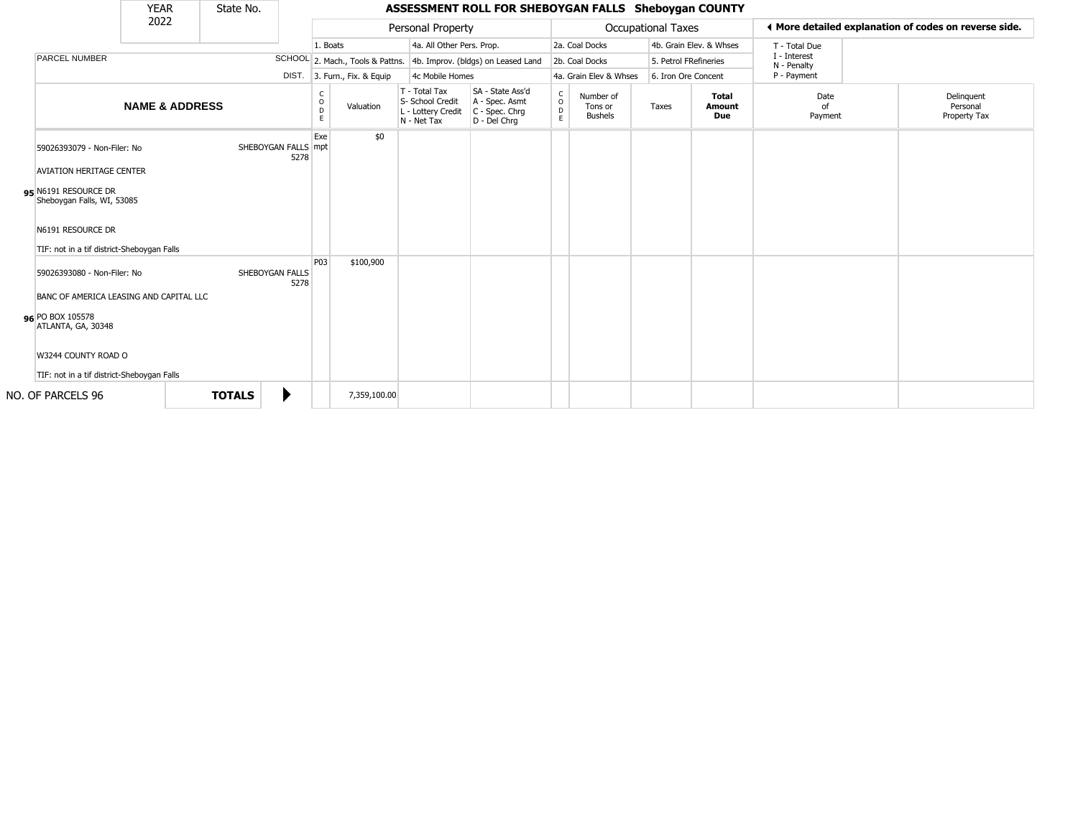|                                                                                                                                                                                         | <b>YEAR</b>               | State No.           |      |                                    |                                  |                                                                        | ASSESSMENT ROLL FOR SHEBOYGAN FALLS Sheboygan COUNTY                 |                                        |                                        |                    |                               |                             |                                                       |
|-----------------------------------------------------------------------------------------------------------------------------------------------------------------------------------------|---------------------------|---------------------|------|------------------------------------|----------------------------------|------------------------------------------------------------------------|----------------------------------------------------------------------|----------------------------------------|----------------------------------------|--------------------|-------------------------------|-----------------------------|-------------------------------------------------------|
|                                                                                                                                                                                         | 2022                      |                     |      |                                    |                                  | Personal Property                                                      |                                                                      |                                        |                                        | Occupational Taxes |                               |                             | ♦ More detailed explanation of codes on reverse side. |
|                                                                                                                                                                                         |                           |                     |      | 1. Boats                           |                                  | 4a. All Other Pers. Prop.                                              |                                                                      |                                        | 2a. Coal Docks                         |                    | 4b. Grain Elev. & Whses       | T - Total Due               |                                                       |
| PARCEL NUMBER                                                                                                                                                                           |                           |                     |      |                                    | SCHOOL 2. Mach., Tools & Pattns. |                                                                        | 4b. Improv. (bldgs) on Leased Land                                   |                                        | 2b. Coal Docks                         |                    | 5. Petrol FRefineries         | I - Interest<br>N - Penalty |                                                       |
|                                                                                                                                                                                         |                           |                     |      |                                    | DIST. 3. Furn., Fix. & Equip     | 4c Mobile Homes                                                        |                                                                      |                                        | 4a. Grain Elev & Whses                 |                    | 6. Iron Ore Concent           | P - Payment                 |                                                       |
|                                                                                                                                                                                         | <b>NAME &amp; ADDRESS</b> |                     |      | $\mathsf{C}$<br>$\circ$<br>D<br>E. | Valuation                        | T - Total Tax<br>S- School Credit<br>L - Lottery Credit<br>N - Net Tax | SA - State Ass'd<br>A - Spec. Asmt<br>C - Spec. Chrg<br>D - Del Chrq | $_{\rm o}^{\rm c}$<br>$\mathsf D$<br>E | Number of<br>Tons or<br><b>Bushels</b> | Taxes              | <b>Total</b><br>Amount<br>Due | Date<br>of<br>Payment       | Delinquent<br>Personal<br>Property Tax                |
| 59026393079 - Non-Filer: No<br><b>AVIATION HERITAGE CENTER</b><br>95 N6191 RESOURCE DR<br>Sheboygan Falls, WI, 53085<br>N6191 RESOURCE DR<br>TIF: not in a tif district-Sheboygan Falls |                           | SHEBOYGAN FALLS mpt | 5278 | Exe                                | \$0                              |                                                                        |                                                                      |                                        |                                        |                    |                               |                             |                                                       |
| 59026393080 - Non-Filer: No<br>BANC OF AMERICA LEASING AND CAPITAL LLC<br>96 PO BOX 105578<br>ATLANTA, GA, 30348<br>W3244 COUNTY ROAD O<br>TIF: not in a tif district-Sheboygan Falls   |                           | SHEBOYGAN FALLS     | 5278 | P <sub>03</sub>                    | \$100,900                        |                                                                        |                                                                      |                                        |                                        |                    |                               |                             |                                                       |
| NO. OF PARCELS 96                                                                                                                                                                       |                           | <b>TOTALS</b>       |      |                                    | 7,359,100.00                     |                                                                        |                                                                      |                                        |                                        |                    |                               |                             |                                                       |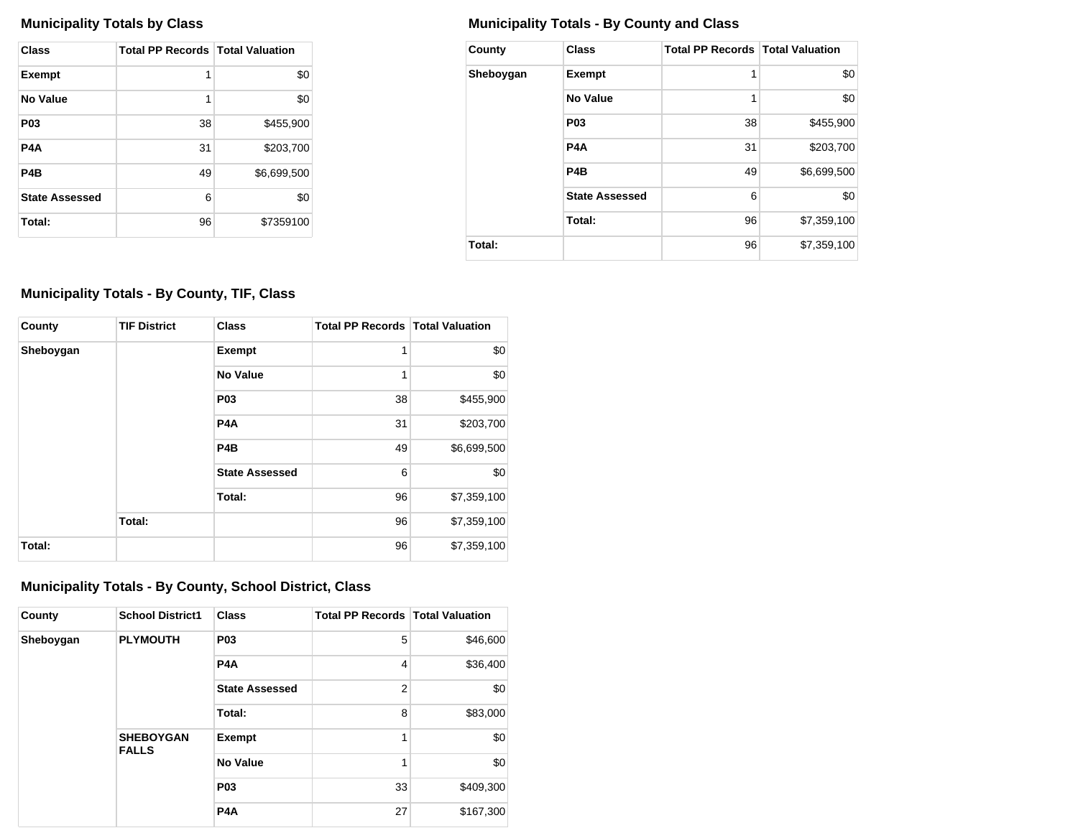| Class                 | <b>Total PP Records   Total Valuation</b> |             |
|-----------------------|-------------------------------------------|-------------|
| <b>Exempt</b>         | 1                                         | \$0         |
| No Value              | 1                                         | \$0         |
| P <sub>0</sub> 3      | 38                                        | \$455,900   |
| P4A                   | 31                                        | \$203,700   |
| P <sub>4</sub> B      | 49                                        | \$6,699,500 |
| <b>State Assessed</b> | 6                                         | \$0         |
| Total:                | 96                                        | \$7359100   |

## **Municipality Totals by Class Municipality Totals - By County and Class**

| County    | <b>Class</b>          | <b>Total PP Records   Total Valuation</b> |             |
|-----------|-----------------------|-------------------------------------------|-------------|
| Sheboygan | <b>Exempt</b>         | 1                                         | \$0         |
|           | No Value              | 1                                         | \$0         |
|           | P <sub>0</sub> 3      | 38                                        | \$455,900   |
|           | P <sub>4</sub> A      | 31                                        | \$203,700   |
|           | P <sub>4</sub> B      | 49                                        | \$6,699,500 |
|           | <b>State Assessed</b> | 6                                         | \$0         |
|           | Total:                | 96                                        | \$7,359,100 |
| Total:    |                       | 96                                        | \$7,359,100 |

## **Municipality Totals - By County, TIF, Class**

| County    | <b>TIF District</b> | <b>Class</b>          | <b>Total PP Records   Total Valuation</b> |             |
|-----------|---------------------|-----------------------|-------------------------------------------|-------------|
| Sheboygan |                     | <b>Exempt</b>         | 1                                         | \$0         |
|           |                     | No Value              | 1                                         | \$0         |
|           |                     | P <sub>03</sub>       | 38                                        | \$455,900   |
|           |                     | P <sub>4</sub> A      | 31                                        | \$203,700   |
|           |                     | P <sub>4</sub> B      | 49                                        | \$6,699,500 |
|           |                     | <b>State Assessed</b> | 6                                         | \$0         |
|           |                     | Total:                | 96                                        | \$7,359,100 |
|           | Total:              |                       | 96                                        | \$7,359,100 |
| Total:    |                     |                       | 96                                        | \$7,359,100 |

## **Municipality Totals - By County, School District, Class**

| County    | <b>School District1</b>          | <b>Class</b>          | <b>Total PP Records   Total Valuation</b> |           |
|-----------|----------------------------------|-----------------------|-------------------------------------------|-----------|
| Sheboygan | <b>PLYMOUTH</b>                  | <b>P03</b>            | 5                                         | \$46,600  |
|           |                                  | P <sub>4</sub> A      | $\overline{4}$                            | \$36,400  |
|           |                                  | <b>State Assessed</b> | $\overline{2}$                            | \$0       |
|           |                                  | Total:                | 8                                         | \$83,000  |
|           | <b>SHEBOYGAN</b><br><b>FALLS</b> | <b>Exempt</b>         | 1                                         | \$0       |
|           |                                  | <b>No Value</b>       | 1                                         | \$0       |
|           |                                  | <b>P03</b>            | 33                                        | \$409,300 |
|           |                                  | P <sub>4</sub> A      | 27                                        | \$167,300 |